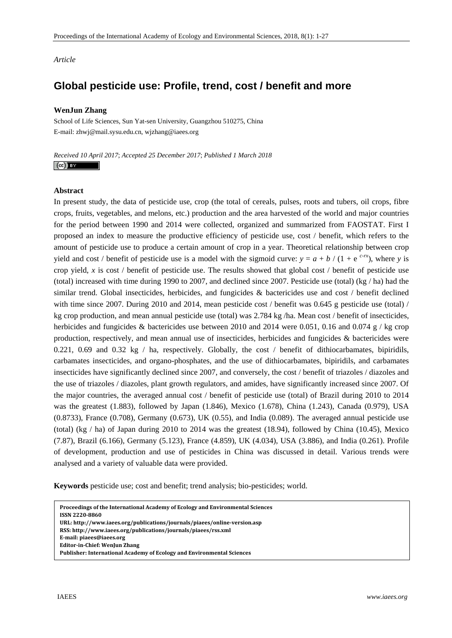*Article* 

# **Global pesticide use: Profile, trend, cost / benefit and more**

# **WenJun Zhang**

School of Life Sciences, Sun Yat-sen University, Guangzhou 510275, China E-mail: zhwj@mail.sysu.edu.cn, wjzhang@iaees.org

*Received 10 April 2017*; *Accepted 25 December 2017*; *Published 1 March 2018*   $(cc)$  BY

## **Abstract**

In present study, the data of pesticide use, crop (the total of cereals, pulses, roots and tubers, oil crops, fibre crops, fruits, vegetables, and melons, etc.) production and the area harvested of the world and major countries for the period between 1990 and 2014 were collected, organized and summarized from FAOSTAT. First I proposed an index to measure the productive efficiency of pesticide use, cost / benefit, which refers to the amount of pesticide use to produce a certain amount of crop in a year. Theoretical relationship between crop yield and cost / benefit of pesticide use is a model with the sigmoid curve:  $y = a + b / (1 + e^{c-rx})$ , where *y* is crop yield, *x* is cost / benefit of pesticide use. The results showed that global cost / benefit of pesticide use (total) increased with time during 1990 to 2007, and declined since 2007. Pesticide use (total) (kg / ha) had the similar trend. Global insecticides, herbicides, and fungicides & bactericides use and cost / benefit declined with time since 2007. During 2010 and 2014, mean pesticide cost / benefit was 0.645 g pesticide use (total) / kg crop production, and mean annual pesticide use (total) was 2.784 kg /ha. Mean cost / benefit of insecticides, herbicides and fungicides & bactericides use between 2010 and 2014 were 0.051, 0.16 and 0.074 g / kg crop production, respectively, and mean annual use of insecticides, herbicides and fungicides & bactericides were 0.221, 0.69 and 0.32 kg / ha, respectively. Globally, the cost / benefit of dithiocarbamates, bipiridils, carbamates insecticides, and organo-phosphates, and the use of dithiocarbamates, bipiridils, and carbamates insecticides have significantly declined since 2007, and conversely, the cost / benefit of triazoles / diazoles and the use of triazoles / diazoles, plant growth regulators, and amides, have significantly increased since 2007. Of the major countries, the averaged annual cost / benefit of pesticide use (total) of Brazil during 2010 to 2014 was the greatest (1.883), followed by Japan (1.846), Mexico (1.678), China (1.243), Canada (0.979), USA (0.8733), France (0.708), Germany (0.673), UK (0.55), and India (0.089). The averaged annual pesticide use (total) (kg / ha) of Japan during 2010 to 2014 was the greatest (18.94), followed by China (10.45), Mexico (7.87), Brazil (6.166), Germany (5.123), France (4.859), UK (4.034), USA (3.886), and India (0.261). Profile of development, production and use of pesticides in China was discussed in detail. Various trends were analysed and a variety of valuable data were provided.

**Keywords** pesticide use; cost and benefit; trend analysis; bio-pesticides; world.

**Proceedings of the International Academy of Ecology and Environmental Sciences ISSN 22208860 URL: http://www.iaees.org/publications/journals/piaees/onlineversion.asp RSS: http://www.iaees.org/publications/journals/piaees/rss.xml Email: piaees@iaees.org EditorinChief: WenJun Zhang Publisher: International Academy of Ecology and Environmental Sciences**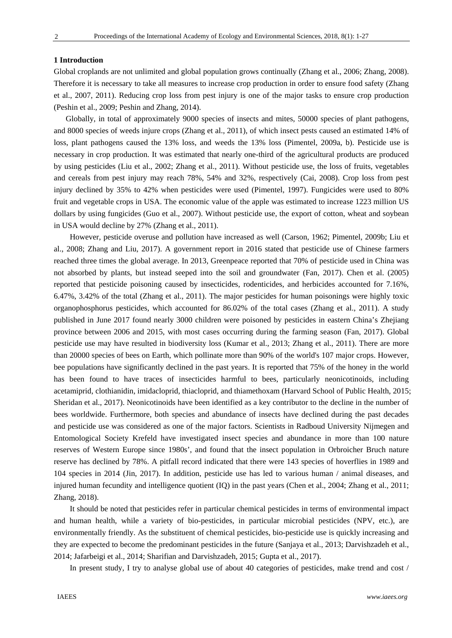#### **1 Introduction**

Global croplands are not unlimited and global population grows continually (Zhang et al., 2006; Zhang, 2008). Therefore it is necessary to take all measures to increase crop production in order to ensure food safety (Zhang et al., 2007, 2011). Reducing crop loss from pest injury is one of the major tasks to ensure crop production (Peshin et al., 2009; Peshin and Zhang, 2014).

Globally, in total of approximately 9000 species of insects and mites, 50000 species of plant pathogens, and 8000 species of weeds injure crops (Zhang et al., 2011), of which insect pests caused an estimated 14% of loss, plant pathogens caused the 13% loss, and weeds the 13% loss (Pimentel, 2009a, b). Pesticide use is necessary in crop production. It was estimated that nearly one-third of the agricultural products are produced by using pesticides (Liu et al., 2002; Zhang et al., 2011). Without pesticide use, the loss of fruits, vegetables and cereals from pest injury may reach 78%, 54% and 32%, respectively (Cai, 2008). Crop loss from pest injury declined by 35% to 42% when pesticides were used (Pimentel, 1997). Fungicides were used to 80% fruit and vegetable crops in USA. The economic value of the apple was estimated to increase 1223 million US dollars by using fungicides (Guo et al., 2007). Without pesticide use, the export of cotton, wheat and soybean in USA would decline by 27% (Zhang et al., 2011).

However, pesticide overuse and pollution have increased as well (Carson, 1962; Pimentel, 2009b; Liu et al., 2008; Zhang and Liu, 2017). A government report in 2016 stated that pesticide use of Chinese farmers reached three times the global average. In 2013, Greenpeace reported that 70% of pesticide used in China was not absorbed by plants, but instead seeped into the soil and groundwater (Fan, 2017). Chen et al. (2005) reported that pesticide poisoning caused by insecticides, rodenticides, and herbicides accounted for 7.16%, 6.47%, 3.42% of the total (Zhang et al., 2011). The major pesticides for human poisonings were highly toxic organophosphorus pesticides, which accounted for 86.02% of the total cases (Zhang et al., 2011). A study published in June 2017 found nearly 3000 children were poisoned by pesticides in eastern China's Zhejiang province between 2006 and 2015, with most cases occurring during the farming season (Fan, 2017). Global pesticide use may have resulted in biodiversity loss (Kumar et al., 2013; Zhang et al., 2011). There are more than 20000 species of bees on Earth, which pollinate more than 90% of the world's 107 major crops. However, bee populations have significantly declined in the past years. It is reported that 75% of the honey in the world has been found to have traces of insecticides harmful to bees, particularly neonicotinoids, including acetamiprid, clothianidin, imidacloprid, thiacloprid, and thiamethoxam (Harvard School of Public Health, 2015; Sheridan et al., 2017). Neonicotinoids have been identified as a key contributor to the decline in the number of bees worldwide. Furthermore, both species and abundance of insects have declined during the past decades and pesticide use was considered as one of the major factors. Scientists in Radboud University Nijmegen and Entomological Society Krefeld have investigated insect species and abundance in more than 100 nature reserves of Western Europe since 1980s', and found that the insect population in Orbroicher Bruch nature reserve has declined by 78%. A pitfall record indicated that there were 143 species of hoverflies in 1989 and 104 species in 2014 (Jin, 2017). In addition, pesticide use has led to various human / animal diseases, and injured human fecundity and intelligence quotient (IQ) in the past years (Chen et al., 2004; Zhang et al., 2011; Zhang, 2018).

It should be noted that pesticides refer in particular chemical pesticides in terms of environmental impact and human health, while a variety of bio-pesticides, in particular microbial pesticides (NPV, etc.), are environmentally friendly. As the substituent of chemical pesticides, bio-pesticide use is quickly increasing and they are expected to become the predominant pesticides in the future (Sanjaya et al., 2013; Darvishzadeh et al., 2014; Jafarbeigi et al., 2014; Sharifian and Darvishzadeh, 2015; Gupta et al., 2017).

In present study, I try to analyse global use of about 40 categories of pesticides, make trend and cost /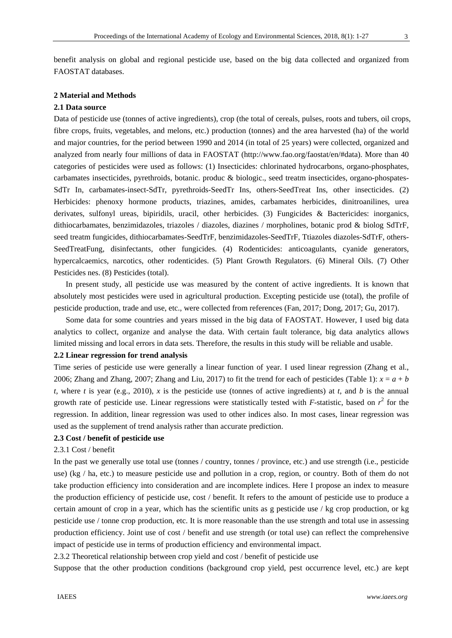benefit analysis on global and regional pesticide use, based on the big data collected and organized from FAOSTAT databases.

# **2 Material and Methods**

# **2.1 Data source**

Data of pesticide use (tonnes of active ingredients), crop (the total of cereals, pulses, roots and tubers, oil crops, fibre crops, fruits, vegetables, and melons, etc.) production (tonnes) and the area harvested (ha) of the world and major countries, for the period between 1990 and 2014 (in total of 25 years) were collected, organized and analyzed from nearly four millions of data in FAOSTAT (http://www.fao.org/faostat/en/#data). More than 40 categories of pesticides were used as follows: (1) Insecticides: chlorinated hydrocarbons, organo-phosphates, carbamates insecticides, pyrethroids, botanic. produc & biologic., seed treatm insecticides, organo-phospates-SdTr In, carbamates-insect-SdTr, pyrethroids-SeedTr Ins, others-SeedTreat Ins, other insecticides. (2) Herbicides: phenoxy hormone products, triazines, amides, carbamates herbicides, dinitroanilines, urea derivates, sulfonyl ureas, bipiridils, uracil, other herbicides. (3) Fungicides & Bactericides: inorganics, dithiocarbamates, benzimidazoles, triazoles / diazoles, diazines / morpholines, botanic prod & biolog SdTrF, seed treatm fungicides, dithiocarbamates-SeedTrF, benzimidazoles-SeedTrF, Ttiazoles diazoles-SdTrF, others-SeedTreatFung, disinfectants, other fungicides. (4) Rodenticides: anticoagulants, cyanide generators, hypercalcaemics, narcotics, other rodenticides. (5) Plant Growth Regulators. (6) Mineral Oils. (7) Other Pesticides nes. (8) Pesticides (total).

 In present study, all pesticide use was measured by the content of active ingredients. It is known that absolutely most pesticides were used in agricultural production. Excepting pesticide use (total), the profile of pesticide production, trade and use, etc., were collected from references (Fan, 2017; Dong, 2017; Gu, 2017).

Some data for some countries and years missed in the big data of FAOSTAT. However, I used big data analytics to collect, organize and analyse the data. With certain fault tolerance, big data analytics allows limited missing and local errors in data sets. Therefore, the results in this study will be reliable and usable.

## **2.2 Linear regression for trend analysis**

Time series of pesticide use were generally a linear function of year. I used linear regression (Zhang et al., 2006; Zhang and Zhang, 2007; Zhang and Liu, 2017) to fit the trend for each of pesticides (Table 1):  $x = a + b$ *t*, where *t* is year (e.g., 2010), *x* is the pesticide use (tonnes of active ingredients) at *t*, and *b* is the annual growth rate of pesticide use. Linear regressions were statistically tested with  $F$ -statistic, based on  $r^2$  for the regression. In addition, linear regression was used to other indices also. In most cases, linear regression was used as the supplement of trend analysis rather than accurate prediction.

# **2.3 Cost / benefit of pesticide use**

# 2.3.1 Cost / benefit

In the past we generally use total use (tonnes / country, tonnes / province, etc.) and use strength (i.e., pesticide use) (kg / ha, etc.) to measure pesticide use and pollution in a crop, region, or country. Both of them do not take production efficiency into consideration and are incomplete indices. Here I propose an index to measure the production efficiency of pesticide use, cost / benefit. It refers to the amount of pesticide use to produce a certain amount of crop in a year, which has the scientific units as g pesticide use / kg crop production, or kg pesticide use / tonne crop production, etc. It is more reasonable than the use strength and total use in assessing production efficiency. Joint use of cost / benefit and use strength (or total use) can reflect the comprehensive impact of pesticide use in terms of production efficiency and environmental impact.

2.3.2 Theoretical relationship between crop yield and cost / benefit of pesticide use

Suppose that the other production conditions (background crop yield, pest occurrence level, etc.) are kept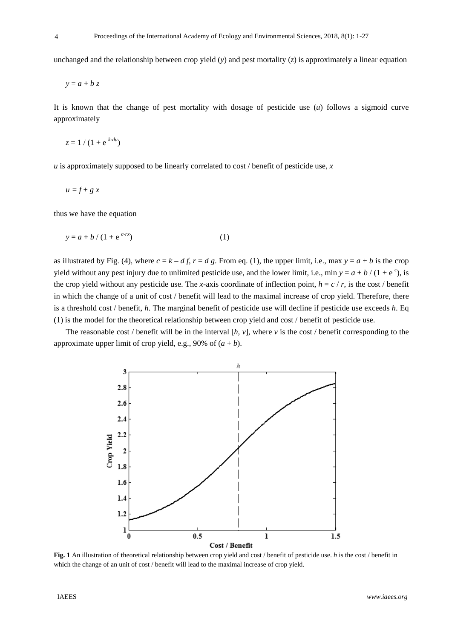unchanged and the relationship between crop yield (*y*) and pest mortality (*z*) is approximately a linear equation

 $y = a + b z$ 

It is known that the change of pest mortality with dosage of pesticide use (*u*) follows a sigmoid curve approximately

$$
z = 1/(1 + e^{k-du})
$$

*u* is approximately supposed to be linearly correlated to cost / benefit of pesticide use, *x* 

$$
u = f + g x
$$

thus we have the equation

$$
y = a + b / (1 + e^{c-rx})
$$
 (1)

as illustrated by Fig. (4), where  $c = k - df$ ,  $r = d$  g. From eq. (1), the upper limit, i.e., max  $y = a + b$  is the crop yield without any pest injury due to unlimited pesticide use, and the lower limit, i.e., min  $y = a + b / (1 + e^c)$ , is the crop yield without any pesticide use. The *x*-axis coordinate of inflection point,  $h = c / r$ , is the cost / benefit in which the change of a unit of cost / benefit will lead to the maximal increase of crop yield. Therefore, there is a threshold cost / benefit, *h*. The marginal benefit of pesticide use will decline if pesticide use exceeds *h*. Eq (1) is the model for the theoretical relationship between crop yield and cost / benefit of pesticide use.

The reasonable cost / benefit will be in the interval [*h*, *v*], where *v* is the cost / benefit corresponding to the approximate upper limit of crop yield, e.g., 90% of  $(a + b)$ .



**Fig. 1** An illustration of **t**heoretical relationship between crop yield and cost / benefit of pesticide use. *h* is the cost / benefit in which the change of an unit of cost / benefit will lead to the maximal increase of crop yield.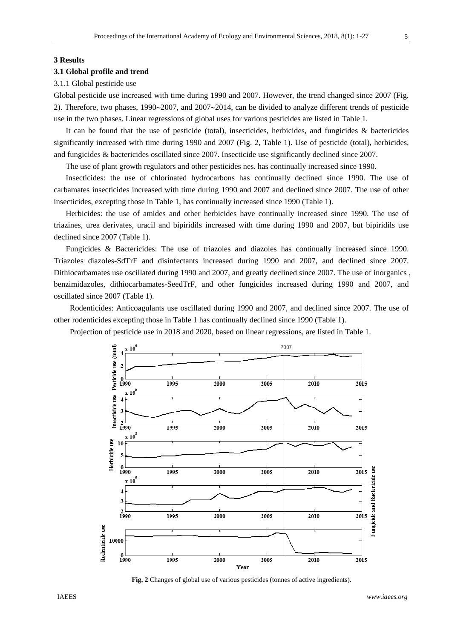#### **3 Results**

#### **3.1 Global profile and trend**

#### 3.1.1 Global pesticide use

Global pesticide use increased with time during 1990 and 2007. However, the trend changed since 2007 (Fig. 2). Therefore, two phases,  $1990 \sim 2007$ , and  $2007 \sim 2014$ , can be divided to analyze different trends of pesticide use in the two phases. Linear regressions of global uses for various pesticides are listed in Table 1.

 It can be found that the use of pesticide (total), insecticides, herbicides, and fungicides & bactericides significantly increased with time during 1990 and 2007 (Fig. 2, Table 1). Use of pesticide (total), herbicides, and fungicides & bactericides oscillated since 2007. Insecticide use significantly declined since 2007.

The use of plant growth regulators and other pesticides nes. has continually increased since 1990.

 Insecticides: the use of chlorinated hydrocarbons has continually declined since 1990. The use of carbamates insecticides increased with time during 1990 and 2007 and declined since 2007. The use of other insecticides, excepting those in Table 1, has continually increased since 1990 (Table 1).

 Herbicides: the use of amides and other herbicides have continually increased since 1990. The use of triazines, urea derivates, uracil and bipiridils increased with time during 1990 and 2007, but bipiridils use declined since 2007 (Table 1).

Fungicides & Bactericides: The use of triazoles and diazoles has continually increased since 1990. Triazoles diazoles-SdTrF and disinfectants increased during 1990 and 2007, and declined since 2007. Dithiocarbamates use oscillated during 1990 and 2007, and greatly declined since 2007. The use of inorganics , benzimidazoles, dithiocarbamates-SeedTrF, and other fungicides increased during 1990 and 2007, and oscillated since 2007 (Table 1).

Rodenticides: Anticoagulants use oscillated during 1990 and 2007, and declined since 2007. The use of other rodenticides excepting those in Table 1 has continually declined since 1990 (Table 1).

Projection of pesticide use in 2018 and 2020, based on linear regressions, are listed in Table 1.



 **Fig. 2** Changes of global use of various pesticides (tonnes of active ingredients).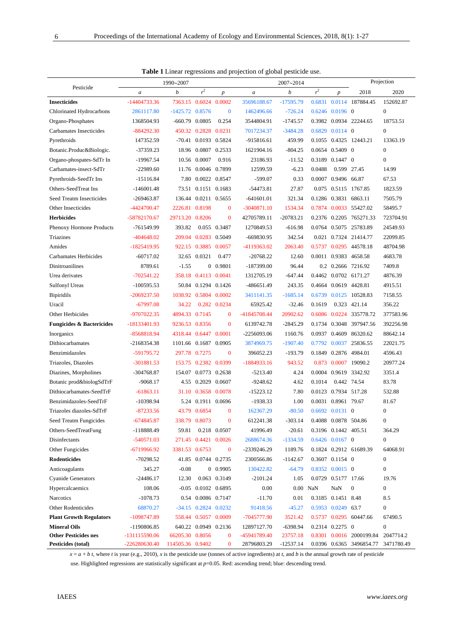|      | <b>Table 1</b> Linear regressions and projection of global pesticide use. |               |
|------|---------------------------------------------------------------------------|---------------|
|      | 1990~2007                                                                 | $2007 - 2014$ |
| cide |                                                                           |               |

|                                      |                  | 1990~2007               |                           |                  |               | 2007~2014   |                |                                  |                          | Projection       |
|--------------------------------------|------------------|-------------------------|---------------------------|------------------|---------------|-------------|----------------|----------------------------------|--------------------------|------------------|
| Pesticide                            | $\boldsymbol{a}$ | $\boldsymbol{b}$        | r <sup>2</sup>            | $\boldsymbol{p}$ | a             | b           | r <sup>2</sup> | $\boldsymbol{p}$                 | 2018                     | 2020             |
| <b>Insecticides</b>                  | $-14404733.36$   | 7363.15 0.6024 0.0002   |                           |                  | 35696188.67   | $-17595.79$ |                |                                  | 0.6831 0.0114 187884.45  | 152692.87        |
| Chlorinated Hydrocarbons             | 2861117.80       | $-1425.72$ 0.8576       |                           | $\bf{0}$         | 1462496.66    | $-726.24$   |                | $0.6246$ $0.0196$ 0              |                          | $\mathbf{0}$     |
| Organo-Phosphates                    | 1368504.93       | -660.79                 | 0.0805                    | 0.254            | 3544804.91    | $-1745.57$  |                |                                  | 0.3982 0.0934 22244.65   | 18753.51         |
| Carbamates Insecticides              | $-884292.30$     |                         | 450.32 0.2828 0.0231      |                  | 7017234.37    | $-3484.28$  |                | 0.6829 0.0114 0                  |                          | $\overline{0}$   |
| Pyrethroids                          | 147352.59        |                         | -70.41 0.0193 0.5824      |                  | -915816.61    | 459.99      |                |                                  | 0.1055 0.4325 12443.21   | 13363.19         |
| Botanic.Produc&Biologic.             | $-37359.23$      |                         | 18.96 0.0807 0.2533       |                  | 1621904.16    | $-804.25$   |                | $0.0654$ $0.5409$ 0              |                          | $\mathbf{0}$     |
| Organo-phospates-SdTr In             | $-19967.54$      |                         | 10.56 0.0007              | 0.916            | 23186.93      | $-11.52$    |                | 0.3189 0.1447 0                  |                          | $\mathbf{0}$     |
| Carbamates-insect-SdTr               | $-22989.60$      | 11.76                   | 0.0046 0.7899             |                  | 12599.59      | $-6.23$     | 0.0488         | 0.599 27.45                      |                          | 14.99            |
| Pyrethroids-SeedTr Ins               | $-15116.84$      | 7.80                    | 0.0022 0.8547             |                  | $-599.07$     | 0.33        |                | 0.0007 0.9496                    | 66.87                    | 67.53            |
| Others-SeedTreat Ins                 | $-146001.48$     | 73.51                   | 0.1151 0.1683             |                  | -54473.81     | 27.87       |                |                                  | 0.075 0.5115 1767.85     | 1823.59          |
| Seed Treatm Insecticides             | $-269463.87$     | 136.44                  | 0.0211 0.5655             |                  | $-641601.01$  | 321.34      |                |                                  | 0.1286 0.3831 6863.11    | 7505.79          |
| Other Insecticides                   | -4424700.47      | 2226.81 0.8198          |                           | $\bf{0}$         | -3040871.10   | 1534.34     |                |                                  | 0.7874 0.0033 55427.02   | 58495.7          |
| <b>Herbicides</b>                    | -58782170.67     | 29713.20 0.8206         |                           | $\overline{0}$   | 42705789.11   | $-20783.21$ |                |                                  | 0.2376 0.2205 765271.33  | 723704.91        |
| Phenoxy Hormone Products             | -761549.99       | 393.82                  |                           | 0.055 0.3487     | 1270849.53    | $-616.98$   |                |                                  | 0.0764 0.5075 25783.89   | 24549.93         |
| Triazines                            | $-404648.02$     | 209.04                  | 0.0283 0.5049             |                  | -669830.95    | 342.54      |                |                                  | 0.021 0.7324 21414.77    | 22099.85         |
| Amides                               | -1825419.95      | 922.15                  | 0.3885 0.0057             |                  | -4119363.02   | 2063.40     |                |                                  | 0.5737 0.0295 44578.18   | 48704.98         |
| Carbamates Herbicides                | $-60717.02$      | 32.65                   | 0.0321                    | 0.477            | $-20768.22$   | 12.60       |                |                                  | 0.0011 0.9383 4658.58    | 4683.78          |
| Dinitroanilines                      | 8789.61          | $-1.55$                 |                           | 0 0.9801         | -187399.00    | 96.44       |                |                                  | 0.2 0.2666 7216.92       | 7409.8           |
| Urea derivates                       | $-702541.22$     | 358.18                  | 0.4113 0.0041             |                  | 1312705.19    | $-647.44$   |                |                                  | 0.4462 0.0702 6171.27    | 4876.39          |
| <b>Sulfonyl Ureas</b>                | $-100595.53$     | 50.84                   | 0.1294 0.1426             |                  | -486651.49    | 243.35      |                |                                  | 0.4664 0.0619 4428.81    | 4915.51          |
| <b>Bipiridils</b>                    | -2069237.50      | 1038.92  0.5804  0.0002 |                           |                  | 3411141.35    | $-1685.14$  |                |                                  | 0.6739 0.0125 10528.83   | 7158.55          |
| Uracil                               | $-67997.08$      | 34.22                   |                           | 0.282 0.0234     | 65925.42      | $-32.46$    | 0.1619         |                                  | 0.323 421.14             | 356.22           |
| Other Herbicides                     | -9707022.35      | 4894.33                 | 0.7145                    | $\mathbf{0}$     | -41845708.44  | 20902.62    | 0.6086         | 0.0224                           | 335778.72                | 377583.96        |
| <b>Fungicides &amp; Bactericides</b> | -18133401.93     | 9236.53 0.8356          |                           | $\mathbf{0}$     | 6139742.78    | $-2845.29$  |                | 0.1734 0.3048                    | 397947.56                | 392256.98        |
| Inorganics                           | -8568818.94      | 4318.44 0.6447          |                           | 0.0001           | -2256093.06   | 1160.76     |                |                                  | 0.0937 0.4609 86320.62   | 88642.14         |
| Dithiocarbamates                     | -2168354.38      | 1101.66 0.1687          |                           | 0.0905           | 3874969.75    | $-1907.40$  | 0.7792         | 0.0037                           | 25836.55                 | 22021.75         |
| Benzimidazoles                       | -591795.72       | 297.78 0.7275           |                           | $\bf{0}$         | 396052.23     | $-193.79$   | 0.1849         |                                  | 0.2876 4984.01           | 4596.43          |
| Triazoles, Diazoles                  | -301881.53       |                         | 153.75 0.2382 0.0399      |                  | $-1884933.16$ | 943.52      | 0.873          |                                  | 0.0007 19090.2           | 20977.24         |
| Diazines, Morpholines                | $-304768.87$     |                         | 154.07 0.0773 0.2638      |                  | $-5213.40$    | 4.24        |                |                                  | 0.0004 0.9619 3342.92    | 3351.4           |
| Botanic prod&biologSdTrF             | $-9068.17$       | 4.55                    | 0.2029 0.0607             |                  | $-9248.62$    | 4.62        | 0.1014         | 0.442 74.54                      |                          | 83.78            |
| Dithiocarbamates-SeedTrF             | $-61863.11$      | 31.10                   | 0.3658 0.0078             |                  | $-15223.12$   | 7.80        |                | 0.0123 0.7934 517.28             |                          | 532.88           |
| Benzimidazoles-SeedTrF               | -10398.94        | 5.24                    | 0.1911 0.0696             |                  | $-1938.33$    | 1.00        |                | 0.0031 0.8961 79.67              |                          | 81.67            |
| Triazoles diazoles-SdTrF             | $-87233.56$      |                         | 43.79 0.6854              | $\mathbf{0}$     | 162367.29     | $-80.50$    |                | $0.6692$ $0.0131$ 0              |                          | $\boldsymbol{0}$ |
| Seed Treatm Fungicides               | $-674845.87$     | 338.79                  | 0.8073                    | $\bf{0}$         | 612241.38     | $-303.14$   |                | $0.4088\  \  0.0878\  \  504.86$ |                          | $\boldsymbol{0}$ |
| Others-SeedTreatFung                 | -118888.49       | 59.81                   |                           | 0.218 0.0507     | 41996.49      | $-20.61$    |                | 0.3196 0.1442 405.51             |                          | 364.29           |
| Disinfectants                        | $-540571.03$     |                         | 271.45  0.4421  0.0026    |                  | 2688674.36    | $-1334.59$  |                | $0.6426$ $0.0167$ 0              |                          | $\boldsymbol{0}$ |
| Other Fungicides                     | $-6719966.92$    | 3381.53 0.6753          |                           | $\bf{0}$         | -2339246.29   | 1189.76     |                |                                  | 0.1824 0.2912 61689.39   | 64068.91         |
| <b>Rodenticides</b>                  | $-70298.52$      |                         | 41.85 0.0744 0.2735       |                  | 2300566.86    | $-1142.67$  |                | 0.3607 0.1154 0                  |                          | $\boldsymbol{0}$ |
| Anticoagulants                       | 345.27           | $-0.08$                 |                           | 0 0.9905         | 130422.82     | $-64.79$    |                | 0.8352 0.0015 0                  |                          | $\overline{0}$   |
| <b>Cyanide Generators</b>            | $-24486.17$      | 12.30                   |                           | 0.063 0.3149     | $-2101.24$    | 1.05        |                | 0.0729 0.5177 17.66              |                          | 19.76            |
| Hypercalcaemics                      | 108.06           |                         | $-0.05$ $0.0102$ $0.6895$ |                  | 0.00          | $0.00$ NaN  |                | NaN                              | $\boldsymbol{0}$         | $\boldsymbol{0}$ |
| Narcotics                            | $-1078.73$       |                         | 0.54 0.0086 0.7147        |                  | $-11.70$      | 0.01        |                | 0.3185 0.1451 8.48               |                          | 8.5              |
| Other Rodenticides                   | 68870.27         |                         | $-34.15$ 0.2824 0.0232    |                  | 91418.56      | $-45.27$    |                | 0.5953 0.0249 63.7               |                          | $\boldsymbol{0}$ |
| <b>Plant Growth Regulators</b>       | -1098747.89      |                         | 558.44 0.5057 0.0009      |                  | -7045777.90   | 3521.42     |                |                                  | 0.5737 0.0295 60447.66   | 67490.5          |
| <b>Mineral Oils</b>                  | -1190806.85      |                         | 640.22 0.0949 0.2136      |                  | 12897127.70   | $-6398.94$  |                | 0.2314 0.2275 0                  |                          | $\boldsymbol{0}$ |
| <b>Other Pesticides nes</b>          | -131115590.06    | 66205.30 0.8056         |                           | $\bf{0}$         | -45941789.40  | 23757.18    |                |                                  | 0.8301 0.0016 2000199.84 | 2047714.2        |
| Pesticides (total)                   | $-226280630.40$  | 114505.36 0.9402        |                           | 0                | 28796803.29   | $-12537.14$ |                |                                  | 0.0396 0.6365 3496854.77 | 3471780.49       |

 $x = a + b t$ , where *t* is year (e.g., 2010), *x* is the pesticide use (tonnes of active ingredients) at *t*, and *b* is the annual growth rate of pesticide

use. Highlighted regressions are statistically significant at  $p=0.05$ . Red: ascending trend; blue: descending trend.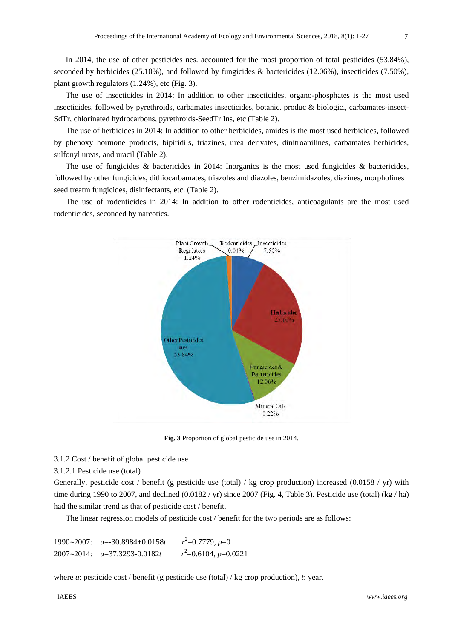In 2014, the use of other pesticides nes. accounted for the most proportion of total pesticides (53.84%), seconded by herbicides (25.10%), and followed by fungicides & bactericides (12.06%), insecticides (7.50%), plant growth regulators (1.24%), etc (Fig. 3).

 The use of insecticides in 2014: In addition to other insecticides, organo-phosphates is the most used insecticides, followed by pyrethroids, carbamates insecticides, botanic. produc & biologic., carbamates-insect-SdTr, chlorinated hydrocarbons, pyrethroids-SeedTr Ins, etc (Table 2).

The use of herbicides in 2014: In addition to other herbicides, amides is the most used herbicides, followed by phenoxy hormone products, bipiridils, triazines, urea derivates, dinitroanilines, carbamates herbicides, sulfonyl ureas, and uracil (Table 2).

 The use of fungicides & bactericides in 2014: Inorganics is the most used fungicides & bactericides, followed by other fungicides, dithiocarbamates, triazoles and diazoles, benzimidazoles, diazines, morpholines seed treatm fungicides, disinfectants, etc. (Table 2).

The use of rodenticides in 2014: In addition to other rodenticides, anticoagulants are the most used rodenticides, seconded by narcotics.



**Fig. 3** Proportion of global pesticide use in 2014.

3.1.2 Cost / benefit of global pesticide use

3.1.2.1 Pesticide use (total)

Generally, pesticide cost / benefit (g pesticide use (total) / kg crop production) increased (0.0158 / yr) with time during 1990 to 2007, and declined  $(0.0182 / yr)$  since 2007 (Fig. 4, Table 3). Pesticide use (total) (kg / ha) had the similar trend as that of pesticide cost / benefit.

The linear regression models of pesticide cost / benefit for the two periods are as follows:

19902007: *u*=-30.8984+0.0158*t r*  $2^2$ =0.7779, *p*=0 20072014: *u*=37.3293-0.0182*t r*  $v^2$ =0.6104, *p*=0.0221

where *u*: pesticide cost / benefit (g pesticide use (total) / kg crop production), *t*: year.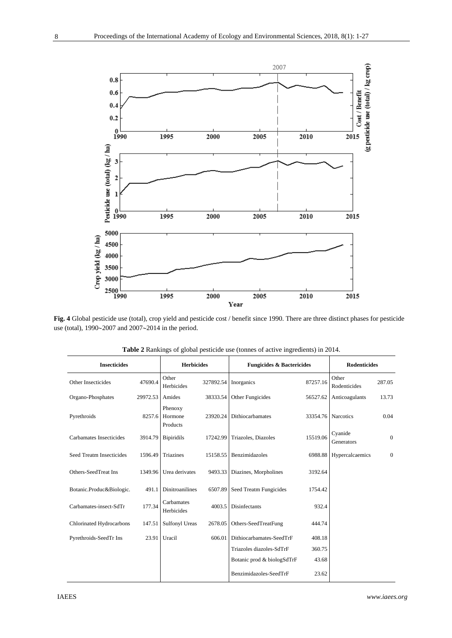

**Fig. 4** Global pesticide use (total), crop yield and pesticide cost / benefit since 1990. There are three distinct phases for pesticide use (total),  $1990~2007$  and  $2007~2014$  in the period.

| <b>Insecticides</b>      |          | <b>Herbicides</b>              |           | <b>Fungicides &amp; Bactericides</b> |          | <b>Rodenticides</b>   |                |  |
|--------------------------|----------|--------------------------------|-----------|--------------------------------------|----------|-----------------------|----------------|--|
| Other Insecticides       | 47690.4  | Other<br>Herbicides            | 327892.54 | Inorganics                           | 87257.16 | Other<br>Rodenticides | 287.05         |  |
| Organo-Phosphates        | 29972.53 | Amides                         | 38333.54  | Other Fungicides                     | 56527.62 | Anticoagulants        | 13.73          |  |
| Pyrethroids              | 8257.6   | Phenoxy<br>Hormone<br>Products | 23920.24  | Dithiocarbamates                     |          | 33354.76 Narcotics    | 0.04           |  |
| Carbamates Insecticides  | 3914.79  | <b>Bipiridils</b>              | 17242.99  | Triazoles, Diazoles                  | 15519.06 | Cyanide<br>Generators | $\overline{0}$ |  |
| Seed Treatm Insecticides | 1596.49  | Triazines                      | 15158.55  | Benzimidazoles                       | 6988.88  | Hypercalcaemics       | $\overline{0}$ |  |
| Others-SeedTreat Ins     | 1349.96  | Urea derivates                 | 9493.33   | Diazines, Morpholines                | 3192.64  |                       |                |  |
| Botanic.Produc&Biologic. | 491.1    | <b>Dinitroanilines</b>         | 6507.89   | Seed Treatm Fungicides               | 1754.42  |                       |                |  |
| Carbamates-insect-SdTr   | 177.34   | Carbamates<br>Herbicides       | 4003.5    | Disinfectants                        | 932.4    |                       |                |  |
| Chlorinated Hydrocarbons | 147.51   | <b>Sulfonyl Ureas</b>          | 2678.05   | Others-SeedTreatFung                 | 444.74   |                       |                |  |
| Pyrethroids-SeedTr Ins   | 23.91    | Uracil                         | 606.01    | Dithiocarbamates-SeedTrF             | 408.18   |                       |                |  |
|                          |          |                                |           | Triazoles diazoles-SdTrF             | 360.75   |                       |                |  |
|                          |          |                                |           | Botanic prod & biologSdTrF           | 43.68    |                       |                |  |
|                          |          |                                |           | Benzimidazoles-SeedTrF               | 23.62    |                       |                |  |

**Table 2** Rankings of global pesticide use (tonnes of active ingredients) in 2014.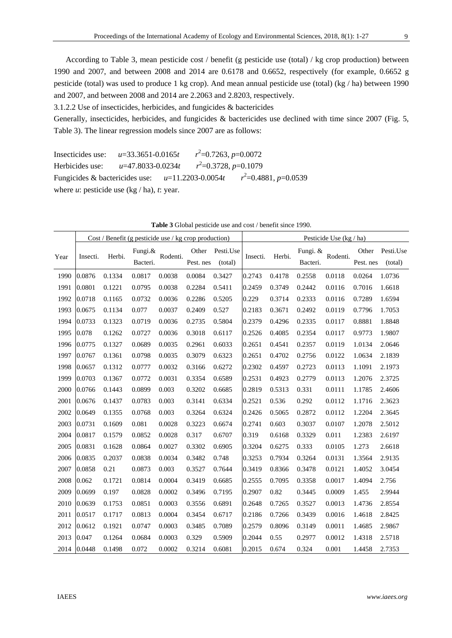According to Table 3, mean pesticide cost / benefit (g pesticide use (total) / kg crop production) between 1990 and 2007, and between 2008 and 2014 are 0.6178 and 0.6652, respectively (for example, 0.6652 g pesticide (total) was used to produce 1 kg crop). And mean annual pesticide use (total) (kg / ha) between 1990 and 2007, and between 2008 and 2014 are 2.2063 and 2.8203, respectively.

3.1.2.2 Use of insecticides, herbicides, and fungicides & bactericides

Generally, insecticides, herbicides, and fungicides & bactericides use declined with time since 2007 (Fig. 5, Table 3). The linear regression models since 2007 are as follows:

Insecticides use: *u*=33.3651-0.0165*t r*  $2^2$ =0.7263, *p*=0.0072 Herbicides use: *u*=47.8033-0.0234*t r* 2 =0.3728, *p*=0.1079 Fungicides & bactericides use: *u*=11.2203-0.0054*t r* 2 =0.4881, *p*=0.0539 where  $u$ : pesticide use (kg / ha),  $t$ : year.

|      |          | $Cost / Benefit (g pesticide use / kg crop production)$ |                        |          |                    |                      | Pesticide Use (kg / ha) |        |                      |          |                    |                      |  |  |
|------|----------|---------------------------------------------------------|------------------------|----------|--------------------|----------------------|-------------------------|--------|----------------------|----------|--------------------|----------------------|--|--|
| Year | Insecti. | Herbi.                                                  | Fungi. $&$<br>Bacteri. | Rodenti. | Other<br>Pest. nes | Pesti.Use<br>(total) | Insecti.                | Herbi. | Fungi. &<br>Bacteri. | Rodenti. | Other<br>Pest. nes | Pesti.Use<br>(total) |  |  |
| 1990 | 0.0876   | 0.1334                                                  | 0.0817                 | 0.0038   | 0.0084             | 0.3427               | 0.2743                  | 0.4178 | 0.2558               | 0.0118   | 0.0264             | 1.0736               |  |  |
| 1991 | 0.0801   | 0.1221                                                  | 0.0795                 | 0.0038   | 0.2284             | 0.5411               | 0.2459                  | 0.3749 | 0.2442               | 0.0116   | 0.7016             | 1.6618               |  |  |
| 1992 | 0.0718   | 0.1165                                                  | 0.0732                 | 0.0036   | 0.2286             | 0.5205               | 0.229                   | 0.3714 | 0.2333               | 0.0116   | 0.7289             | 1.6594               |  |  |
| 1993 | 0.0675   | 0.1134                                                  | 0.077                  | 0.0037   | 0.2409             | 0.527                | 0.2183                  | 0.3671 | 0.2492               | 0.0119   | 0.7796             | 1.7053               |  |  |
| 1994 | 0.0733   | 0.1323                                                  | 0.0719                 | 0.0036   | 0.2735             | 0.5804               | 0.2379                  | 0.4296 | 0.2335               | 0.0117   | 0.8881             | 1.8848               |  |  |
| 1995 | 0.078    | 0.1262                                                  | 0.0727                 | 0.0036   | 0.3018             | 0.6117               | 0.2526                  | 0.4085 | 0.2354               | 0.0117   | 0.9773             | 1.9807               |  |  |
| 1996 | 0.0775   | 0.1327                                                  | 0.0689                 | 0.0035   | 0.2961             | 0.6033               | 0.2651                  | 0.4541 | 0.2357               | 0.0119   | 1.0134             | 2.0646               |  |  |
| 1997 | 0.0767   | 0.1361                                                  | 0.0798                 | 0.0035   | 0.3079             | 0.6323               | 0.2651                  | 0.4702 | 0.2756               | 0.0122   | 1.0634             | 2.1839               |  |  |
| 1998 | 0.0657   | 0.1312                                                  | 0.0777                 | 0.0032   | 0.3166             | 0.6272               | 0.2302                  | 0.4597 | 0.2723               | 0.0113   | 1.1091             | 2.1973               |  |  |
| 1999 | 0.0703   | 0.1367                                                  | 0.0772                 | 0.0031   | 0.3354             | 0.6589               | 0.2531                  | 0.4923 | 0.2779               | 0.0113   | 1.2076             | 2.3725               |  |  |
| 2000 | 0.0766   | 0.1443                                                  | 0.0899                 | 0.003    | 0.3202             | 0.6685               | 0.2819                  | 0.5313 | 0.331                | 0.0111   | 1.1785             | 2.4606               |  |  |
| 2001 | 0.0676   | 0.1437                                                  | 0.0783                 | 0.003    | 0.3141             | 0.6334               | 0.2521                  | 0.536  | 0.292                | 0.0112   | 1.1716             | 2.3623               |  |  |
| 2002 | 0.0649   | 0.1355                                                  | 0.0768                 | 0.003    | 0.3264             | 0.6324               | 0.2426                  | 0.5065 | 0.2872               | 0.0112   | 1.2204             | 2.3645               |  |  |
| 2003 | 0.0731   | 0.1609                                                  | 0.081                  | 0.0028   | 0.3223             | 0.6674               | 0.2741                  | 0.603  | 0.3037               | 0.0107   | 1.2078             | 2.5012               |  |  |
| 2004 | 0.0817   | 0.1579                                                  | 0.0852                 | 0.0028   | 0.317              | 0.6707               | 0.319                   | 0.6168 | 0.3329               | 0.011    | 1.2383             | 2.6197               |  |  |
| 2005 | 0.0831   | 0.1628                                                  | 0.0864                 | 0.0027   | 0.3302             | 0.6905               | 0.3204                  | 0.6275 | 0.333                | 0.0105   | 1.273              | 2.6618               |  |  |
| 2006 | 0.0835   | 0.2037                                                  | 0.0838                 | 0.0034   | 0.3482             | 0.748                | 0.3253                  | 0.7934 | 0.3264               | 0.0131   | 1.3564             | 2.9135               |  |  |
| 2007 | 0.0858   | 0.21                                                    | 0.0873                 | 0.003    | 0.3527             | 0.7644               | 0.3419                  | 0.8366 | 0.3478               | 0.0121   | 1.4052             | 3.0454               |  |  |
| 2008 | 0.062    | 0.1721                                                  | 0.0814                 | 0.0004   | 0.3419             | 0.6685               | 0.2555                  | 0.7095 | 0.3358               | 0.0017   | 1.4094             | 2.756                |  |  |
| 2009 | 0.0699   | 0.197                                                   | 0.0828                 | 0.0002   | 0.3496             | 0.7195               | 0.2907                  | 0.82   | 0.3445               | 0.0009   | 1.455              | 2.9944               |  |  |
| 2010 | 0.0639   | 0.1753                                                  | 0.0851                 | 0.0003   | 0.3556             | 0.6891               | 0.2648                  | 0.7265 | 0.3527               | 0.0013   | 1.4736             | 2.8554               |  |  |
| 2011 | 0.0517   | 0.1717                                                  | 0.0813                 | 0.0004   | 0.3454             | 0.6717               | 0.2186                  | 0.7266 | 0.3439               | 0.0016   | 1.4618             | 2.8425               |  |  |
| 2012 | 0.0612   | 0.1921                                                  | 0.0747                 | 0.0003   | 0.3485             | 0.7089               | 0.2579                  | 0.8096 | 0.3149               | 0.0011   | 1.4685             | 2.9867               |  |  |
| 2013 | 0.047    | 0.1264                                                  | 0.0684                 | 0.0003   | 0.329              | 0.5909               | 0.2044                  | 0.55   | 0.2977               | 0.0012   | 1.4318             | 2.5718               |  |  |
| 2014 | 0.0448   | 0.1498                                                  | 0.072                  | 0.0002   | 0.3214             | 0.6081               | 0.2015                  | 0.674  | 0.324                | 0.001    | 1.4458             | 2.7353               |  |  |

**Table 3** Global pesticide use and cost / benefit since 1990.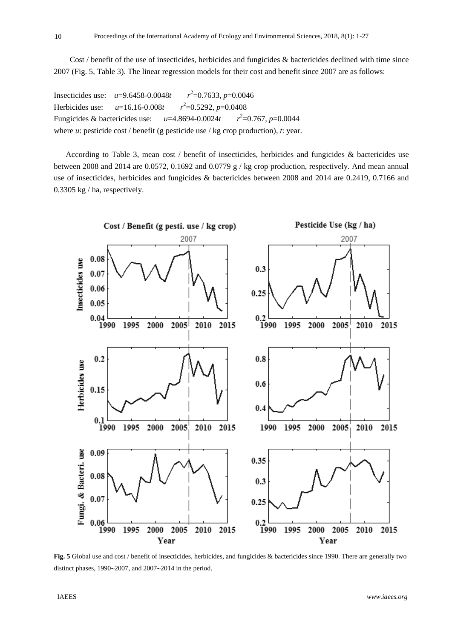Cost / benefit of the use of insecticides, herbicides and fungicides & bactericides declined with time since 2007 (Fig. 5, Table 3). The linear regression models for their cost and benefit since 2007 are as follows:

Insecticides use: *u*=9.6458-0.0048*t r*  $t^2$ =0.7633, *p*=0.0046 Herbicides use: *u*=16.16-0.008*t r*  $l^2$ =0.5292, *p*=0.0408 Fungicides & bactericides use: *u*=4.8694-0.0024*t r*  $^{2}$ =0.767, *p*=0.0044 where *u*: pesticide cost / benefit (g pesticide use / kg crop production), *t*: year.

According to Table 3, mean cost / benefit of insecticides, herbicides and fungicides & bactericides use between 2008 and 2014 are 0.0572, 0.1692 and 0.0779 g / kg crop production, respectively. And mean annual use of insecticides, herbicides and fungicides & bactericides between 2008 and 2014 are 0.2419, 0.7166 and 0.3305 kg / ha, respectively.



**Fig. 5** Global use and cost / benefit of insecticides, herbicides, and fungicides & bactericides since 1990. There are generally two distinct phases,  $1990~2007$ , and  $2007~2014$  in the period.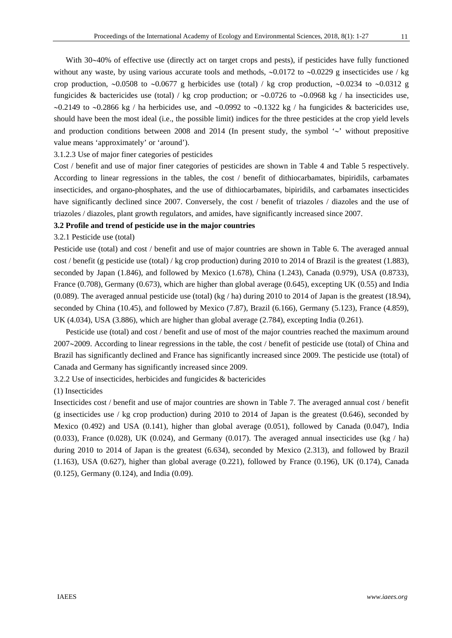With 30~40% of effective use (directly act on target crops and pests), if pesticides have fully functioned without any waste, by using various accurate tools and methods,  $\sim 0.0172$  to  $\sim 0.0229$  g insecticides use / kg crop production,  $\sim 0.0508$  to  $\sim 0.0677$  g herbicides use (total) / kg crop production,  $\sim 0.0234$  to  $\sim 0.0312$  g fungicides & bactericides use (total) / kg crop production; or  $\sim 0.0726$  to  $\sim 0.0968$  kg / ha insecticides use,  $\sim$ 0.2149 to  $\sim$ 0.2866 kg / ha herbicides use, and  $\sim$ 0.0992 to  $\sim$ 0.1322 kg / ha fungicides & bactericides use, should have been the most ideal (i.e., the possible limit) indices for the three pesticides at the crop yield levels and production conditions between 2008 and 2014 (In present study, the symbol  $\sim$  without prepositive value means 'approximately' or 'around').

3.1.2.3 Use of major finer categories of pesticides

Cost / benefit and use of major finer categories of pesticides are shown in Table 4 and Table 5 respectively. According to linear regressions in the tables, the cost / benefit of dithiocarbamates, bipiridils, carbamates insecticides, and organo-phosphates, and the use of dithiocarbamates, bipiridils, and carbamates insecticides have significantly declined since 2007. Conversely, the cost / benefit of triazoles / diazoles and the use of triazoles / diazoles, plant growth regulators, and amides, have significantly increased since 2007.

#### **3.2 Profile and trend of pesticide use in the major countries**

3.2.1 Pesticide use (total)

Pesticide use (total) and cost / benefit and use of major countries are shown in Table 6. The averaged annual cost / benefit (g pesticide use (total) / kg crop production) during 2010 to 2014 of Brazil is the greatest (1.883), seconded by Japan (1.846), and followed by Mexico (1.678), China (1.243), Canada (0.979), USA (0.8733), France (0.708), Germany (0.673), which are higher than global average (0.645), excepting UK (0.55) and India (0.089). The averaged annual pesticide use (total) (kg / ha) during 2010 to 2014 of Japan is the greatest (18.94), seconded by China (10.45), and followed by Mexico (7.87), Brazil (6.166), Germany (5.123), France (4.859), UK (4.034), USA (3.886), which are higher than global average (2.784), excepting India (0.261).

Pesticide use (total) and cost / benefit and use of most of the major countries reached the maximum around  $2007~2009$ . According to linear regressions in the table, the cost / benefit of pesticide use (total) of China and Brazil has significantly declined and France has significantly increased since 2009. The pesticide use (total) of Canada and Germany has significantly increased since 2009.

3.2.2 Use of insecticides, herbicides and fungicides & bactericides

(1) Insecticides

Insecticides cost / benefit and use of major countries are shown in Table 7. The averaged annual cost / benefit (g insecticides use / kg crop production) during 2010 to 2014 of Japan is the greatest (0.646), seconded by Mexico (0.492) and USA (0.141), higher than global average (0.051), followed by Canada (0.047), India  $(0.033)$ , France  $(0.028)$ , UK  $(0.024)$ , and Germany  $(0.017)$ . The averaged annual insecticides use (kg / ha) during 2010 to 2014 of Japan is the greatest (6.634), seconded by Mexico (2.313), and followed by Brazil (1.163), USA (0.627), higher than global average (0.221), followed by France (0.196), UK (0.174), Canada (0.125), Germany (0.124), and India (0.09).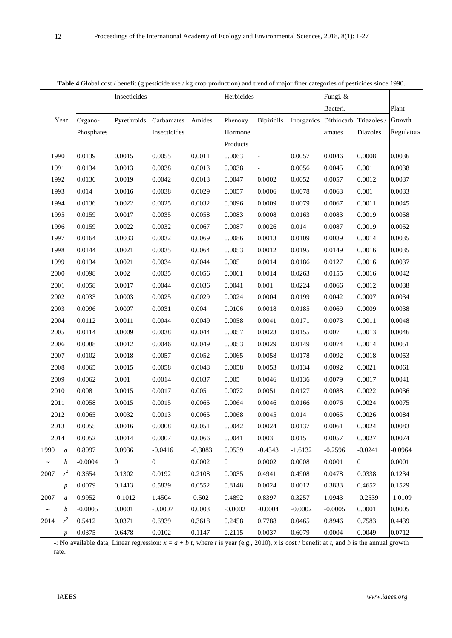|             |                  |            | Insecticides   | <b>Table 4</b> Grobal Cost / benefit (g pesticide use / Kg Crop production) and trend of major finer categories of pesticides since 1990. |           | Herbicides     |                          |           | Fungi. &                          |                |            |
|-------------|------------------|------------|----------------|-------------------------------------------------------------------------------------------------------------------------------------------|-----------|----------------|--------------------------|-----------|-----------------------------------|----------------|------------|
|             |                  |            |                |                                                                                                                                           |           |                |                          |           | Bacteri.                          |                | Plant      |
|             | Year             | Organo-    |                | Pyrethroids Carbamates                                                                                                                    | Amides    | Phenoxy        | <b>Bipiridils</b>        |           | Inorganics Dithiocarb Triazoles / |                | Growth     |
|             |                  | Phosphates |                | Insecticides                                                                                                                              |           | Hormone        |                          |           | amates                            | Diazoles       | Regulators |
|             |                  |            |                |                                                                                                                                           |           | Products       |                          |           |                                   |                |            |
| 1990        |                  | 0.0139     | 0.0015         | 0.0055                                                                                                                                    | 0.0011    | 0.0063         | $\blacksquare$           | 0.0057    | 0.0046                            | 0.0008         | 0.0036     |
| 1991        |                  | 0.0134     | 0.0013         | 0.0038                                                                                                                                    | 0.0013    | 0.0038         | $\overline{\phantom{a}}$ | 0.0056    | 0.0045                            | 0.001          | 0.0038     |
| 1992        |                  | 0.0136     | 0.0019         | 0.0042                                                                                                                                    | 0.0013    | 0.0047         | 0.0002                   | 0.0052    | 0.0057                            | 0.0012         | 0.0037     |
| 1993        |                  | 0.014      | 0.0016         | 0.0038                                                                                                                                    | 0.0029    | 0.0057         | 0.0006                   | 0.0078    | 0.0063                            | 0.001          | 0.0033     |
| 1994        |                  | 0.0136     | 0.0022         | 0.0025                                                                                                                                    | 0.0032    | 0.0096         | 0.0009                   | 0.0079    | 0.0067                            | 0.0011         | 0.0045     |
| 1995        |                  | 0.0159     | 0.0017         | 0.0035                                                                                                                                    | 0.0058    | 0.0083         | 0.0008                   | 0.0163    | 0.0083                            | 0.0019         | 0.0058     |
| 1996        |                  | 0.0159     | 0.0022         | 0.0032                                                                                                                                    | 0.0067    | 0.0087         | 0.0026                   | 0.014     | 0.0087                            | 0.0019         | 0.0052     |
| 1997        |                  | 0.0164     | 0.0033         | 0.0032                                                                                                                                    | 0.0069    | 0.0086         | 0.0013                   | 0.0109    | 0.0089                            | 0.0014         | 0.0035     |
| 1998        |                  | 0.0144     | 0.0021         | 0.0035                                                                                                                                    | 0.0064    | 0.0053         | 0.0012                   | 0.0195    | 0.0149                            | 0.0016         | 0.0035     |
| 1999        |                  | 0.0134     | 0.0021         | 0.0034                                                                                                                                    | 0.0044    | 0.005          | 0.0014                   | 0.0186    | 0.0127                            | 0.0016         | 0.0037     |
| 2000        |                  | 0.0098     | 0.002          | 0.0035                                                                                                                                    | 0.0056    | 0.0061         | 0.0014                   | 0.0263    | 0.0155                            | 0.0016         | 0.0042     |
| 2001        |                  | 0.0058     | 0.0017         | 0.0044                                                                                                                                    | 0.0036    | 0.0041         | 0.001                    | 0.0224    | 0.0066                            | 0.0012         | 0.0038     |
| 2002        |                  | 0.0033     | 0.0003         | 0.0025                                                                                                                                    | 0.0029    | 0.0024         | 0.0004                   | 0.0199    | 0.0042                            | 0.0007         | 0.0034     |
| 2003        |                  | 0.0096     | 0.0007         | 0.0031                                                                                                                                    | 0.004     | 0.0106         | 0.0018                   | 0.0185    | 0.0069                            | 0.0009         | 0.0038     |
| 2004        |                  | 0.0112     | 0.0011         | 0.0044                                                                                                                                    | 0.0049    | 0.0058         | 0.0041                   | 0.0171    | 0.0073                            | 0.0011         | 0.0048     |
| 2005        |                  | 0.0114     | 0.0009         | 0.0038                                                                                                                                    | 0.0044    | 0.0057         | 0.0023                   | 0.0155    | 0.007                             | 0.0013         | 0.0046     |
| 2006        |                  | 0.0088     | 0.0012         | 0.0046                                                                                                                                    | 0.0049    | 0.0053         | 0.0029                   | 0.0149    | 0.0074                            | 0.0014         | 0.0051     |
| 2007        |                  | 0.0102     | 0.0018         | 0.0057                                                                                                                                    | 0.0052    | 0.0065         | 0.0058                   | 0.0178    | 0.0092                            | 0.0018         | 0.0053     |
| 2008        |                  | 0.0065     | 0.0015         | 0.0058                                                                                                                                    | 0.0048    | 0.0058         | 0.0053                   | 0.0134    | 0.0092                            | 0.0021         | 0.0061     |
| 2009        |                  | 0.0062     | 0.001          | 0.0014                                                                                                                                    | 0.0037    | 0.005          | 0.0046                   | 0.0136    | 0.0079                            | 0.0017         | 0.0041     |
| 2010        |                  | 0.008      | 0.0015         | 0.0017                                                                                                                                    | 0.005     | 0.0072         | 0.0051                   | 0.0127    | 0.0088                            | 0.0022         | 0.0036     |
| 2011        |                  | 0.0058     | 0.0015         | 0.0015                                                                                                                                    | 0.0065    | 0.0064         | 0.0046                   | 0.0166    | 0.0076                            | 0.0024         | 0.0075     |
| 2012        |                  | 0.0065     | 0.0032         | 0.0013                                                                                                                                    | 0.0065    | 0.0068         | 0.0045                   | 0.014     | 0.0065                            | 0.0026         | 0.0084     |
| 2013        |                  | 0.0055     | 0.0016         | 0.0008                                                                                                                                    | 0.0051    | 0.0042         | 0.0024                   | 0.0137    | 0.0061                            | 0.0024         | 0.0083     |
| 2014        |                  | 0.0052     | 0.0014         | 0.0007                                                                                                                                    | 0.0066    | 0.0041         | 0.003                    | 0.015     | 0.0057                            | 0.0027         | 0.0074     |
| 1990        | $\boldsymbol{a}$ | 0.8097     | 0.0936         | $-0.0416$                                                                                                                                 | $-0.3083$ | 0.0539         | $-0.4343$                | $-1.6132$ | $-0.2596$                         | $-0.0241$      | $-0.0964$  |
| $\thicksim$ | $\boldsymbol{b}$ | $-0.0004$  | $\overline{0}$ | $\boldsymbol{0}$                                                                                                                          | 0.0002    | $\overline{0}$ | 0.0002                   | 0.0008    | 0.0001                            | $\overline{0}$ | 0.0001     |
| 2007        | $r^2$            | 0.3654     | 0.1302         | 0.0192                                                                                                                                    | 0.2108    | 0.0035         | 0.4941                   | 0.4908    | 0.0478                            | 0.0338         | 0.1234     |
|             | $\boldsymbol{p}$ | 0.0079     | 0.1413         | 0.5839                                                                                                                                    | 0.0552    | 0.8148         | 0.0024                   | 0.0012    | 0.3833                            | 0.4652         | 0.1529     |
| 2007        | $\boldsymbol{a}$ | 0.9952     | $-0.1012$      | 1.4504                                                                                                                                    | $-0.502$  | 0.4892         | 0.8397                   | 0.3257    | 1.0943                            | $-0.2539$      | $-1.0109$  |
| $\thicksim$ | $\boldsymbol{b}$ | $-0.0005$  | 0.0001         | $-0.0007$                                                                                                                                 | 0.0003    | $-0.0002$      | $-0.0004$                | $-0.0002$ | $-0.0005$                         | 0.0001         | 0.0005     |
| 2014        | $r^2$            | 0.5412     | 0.0371         | 0.6939                                                                                                                                    | 0.3618    | 0.2458         | 0.7788                   | 0.0465    | 0.8946                            | 0.7583         | 0.4439     |
|             | $\boldsymbol{p}$ | 0.0375     | 0.6478         | 0.0102                                                                                                                                    | 0.1147    | 0.2115         | 0.0037                   | 0.6079    | 0.0004                            | 0.0049         | 0.0712     |

| Table 4 Global cost / benefit (g pesticide use / kg crop production) and trend of major finer categories of pesticides since 1990. |  |  |
|------------------------------------------------------------------------------------------------------------------------------------|--|--|
|                                                                                                                                    |  |  |

-: No available data; Linear regression:  $x = a + b$  *t*, where *t* is year (e.g., 2010), *x* is cost / benefit at *t*, and *b* is the annual growth rate.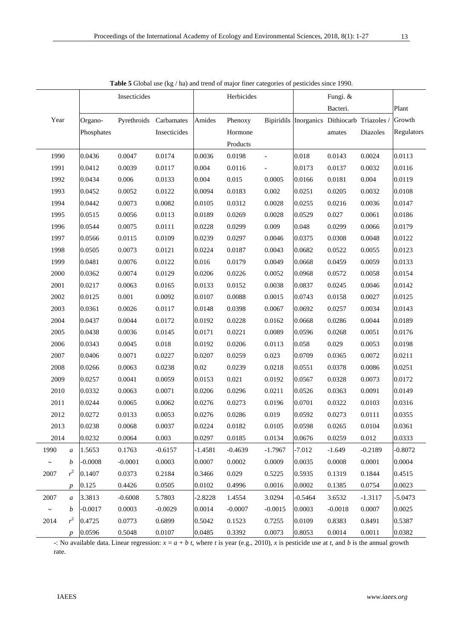|             |                  |            | Insecticides | <b>Table 5</b> Grobal use ( $\kappa g / \ln g$ and trend of major finer ealegories of pesticides since 1770. |           | Herbicides |                          |           | Fungi. &                                            |           |            |
|-------------|------------------|------------|--------------|--------------------------------------------------------------------------------------------------------------|-----------|------------|--------------------------|-----------|-----------------------------------------------------|-----------|------------|
|             |                  |            |              |                                                                                                              |           |            |                          |           | Bacteri.                                            |           | Plant      |
| Year        |                  | Organo-    |              | Pyrethroids Carbamates                                                                                       | Amides    | Phenoxy    |                          |           | Bipiridils Inorganics Dithiocarb Triazoles / Growth |           |            |
|             |                  | Phosphates |              | Insecticides                                                                                                 |           | Hormone    |                          |           | amates                                              | Diazoles  | Regulators |
|             |                  |            |              |                                                                                                              |           | Products   |                          |           |                                                     |           |            |
| 1990        |                  | 0.0436     | 0.0047       | 0.0174                                                                                                       | 0.0036    | 0.0198     | $\overline{\phantom{0}}$ | 0.018     | 0.0143                                              | 0.0024    | 0.0113     |
| 1991        |                  | 0.0412     | 0.0039       | 0.0117                                                                                                       | 0.004     | 0.0116     |                          | 0.0173    | 0.0137                                              | 0.0032    | 0.0116     |
| 1992        |                  | 0.0434     | 0.006        | 0.0133                                                                                                       | 0.004     | 0.015      | 0.0005                   | 0.0166    | 0.0181                                              | 0.004     | 0.0119     |
| 1993        |                  | 0.0452     | 0.0052       | 0.0122                                                                                                       | 0.0094    | 0.0183     | 0.002                    | 0.0251    | 0.0205                                              | 0.0032    | 0.0108     |
| 1994        |                  | 0.0442     | 0.0073       | 0.0082                                                                                                       | 0.0105    | 0.0312     | 0.0028                   | 0.0255    | 0.0216                                              | 0.0036    | 0.0147     |
| 1995        |                  | 0.0515     | 0.0056       | 0.0113                                                                                                       | 0.0189    | 0.0269     | 0.0028                   | 0.0529    | 0.027                                               | 0.0061    | 0.0186     |
| 1996        |                  | 0.0544     | 0.0075       | 0.0111                                                                                                       | 0.0228    | 0.0299     | 0.009                    | 0.048     | 0.0299                                              | 0.0066    | 0.0179     |
| 1997        |                  | 0.0566     | 0.0115       | 0.0109                                                                                                       | 0.0239    | 0.0297     | 0.0046                   | 0.0375    | 0.0308                                              | 0.0048    | 0.0122     |
| 1998        |                  | 0.0505     | 0.0073       | 0.0121                                                                                                       | 0.0224    | 0.0187     | 0.0043                   | 0.0682    | 0.0522                                              | 0.0055    | 0.0123     |
| 1999        |                  | 0.0481     | 0.0076       | 0.0122                                                                                                       | 0.016     | 0.0179     | 0.0049                   | 0.0668    | 0.0459                                              | 0.0059    | 0.0133     |
| 2000        |                  | 0.0362     | 0.0074       | 0.0129                                                                                                       | 0.0206    | 0.0226     | 0.0052                   | 0.0968    | 0.0572                                              | 0.0058    | 0.0154     |
| 2001        |                  | 0.0217     | 0.0063       | 0.0165                                                                                                       | 0.0133    | 0.0152     | 0.0038                   | 0.0837    | 0.0245                                              | 0.0046    | 0.0142     |
| 2002        |                  | 0.0125     | 0.001        | 0.0092                                                                                                       | 0.0107    | 0.0088     | 0.0015                   | 0.0743    | 0.0158                                              | 0.0027    | 0.0125     |
| 2003        |                  | 0.0361     | 0.0026       | 0.0117                                                                                                       | 0.0148    | 0.0398     | 0.0067                   | 0.0692    | 0.0257                                              | 0.0034    | 0.0143     |
| 2004        |                  | 0.0437     | 0.0044       | 0.0172                                                                                                       | 0.0192    | 0.0228     | 0.0162                   | 0.0668    | 0.0286                                              | 0.0044    | 0.0189     |
| 2005        |                  | 0.0438     | 0.0036       | 0.0145                                                                                                       | 0.0171    | 0.0221     | 0.0089                   | 0.0596    | 0.0268                                              | 0.0051    | 0.0176     |
| 2006        |                  | 0.0343     | 0.0045       | 0.018                                                                                                        | 0.0192    | 0.0206     | 0.0113                   | 0.058     | 0.029                                               | 0.0053    | 0.0198     |
| 2007        |                  | 0.0406     | 0.0071       | 0.0227                                                                                                       | 0.0207    | 0.0259     | 0.023                    | 0.0709    | 0.0365                                              | 0.0072    | 0.0211     |
| 2008        |                  | 0.0266     | 0.0063       | 0.0238                                                                                                       | 0.02      | 0.0239     | 0.0218                   | 0.0551    | 0.0378                                              | 0.0086    | 0.0251     |
| 2009        |                  | 0.0257     | 0.0041       | 0.0059                                                                                                       | 0.0153    | 0.021      | 0.0192                   | 0.0567    | 0.0328                                              | 0.0073    | 0.0172     |
| 2010        |                  | 0.0332     | 0.0063       | 0.0071                                                                                                       | 0.0206    | 0.0296     | 0.0211                   | 0.0526    | 0.0363                                              | 0.0091    | 0.0149     |
| 2011        |                  | 0.0244     | 0.0065       | 0.0062                                                                                                       | 0.0276    | 0.0273     | 0.0196                   | 0.0701    | 0.0322                                              | 0.0103    | 0.0316     |
| 2012        |                  | 0.0272     | 0.0133       | 0.0053                                                                                                       | 0.0276    | 0.0286     | 0.019                    | 0.0592    | 0.0273                                              | 0.0111    | 0.0355     |
| 2013        |                  | 0.0238     | 0.0068       | 0.0037                                                                                                       | 0.0224    | 0.0182     | 0.0105                   | 0.0598    | 0.0265                                              | 0.0104    | 0.0361     |
| 2014        |                  | 0.0232     | 0.0064       | 0.003                                                                                                        | 0.0297    | 0.0185     | 0.0134                   | 0.0676    | 0.0259                                              | 0.012     | 0.0333     |
| 1990        | $\boldsymbol{a}$ | 1.5653     | 0.1763       | $-0.6157$                                                                                                    | $-1.4581$ | $-0.4639$  | $-1.7967$                | $-7.012$  | $-1.649$                                            | $-0.2189$ | $-0.8072$  |
| $\thicksim$ | b                | $-0.0008$  | $-0.0001$    | 0.0003                                                                                                       | 0.0007    | 0.0002     | 0.0009                   | 0.0035    | 0.0008                                              | 0.0001    | 0.0004     |
| 2007        | r <sup>2</sup>   | 0.1407     | 0.0373       | 0.2184                                                                                                       | 0.3466    | 0.029      | 0.5225                   | 0.5935    | 0.1319                                              | 0.1844    | 0.4515     |
|             | $\boldsymbol{p}$ | 0.125      | 0.4426       | 0.0505                                                                                                       | 0.0102    | 0.4996     | 0.0016                   | 0.0002    | 0.1385                                              | 0.0754    | 0.0023     |
| 2007        | $\mathfrak a$    | 3.3813     | $-0.6008$    | 5.7803                                                                                                       | $-2.8228$ | 1.4554     | 3.0294                   | $-0.5464$ | 3.6532                                              | $-1.3117$ | $-5.0473$  |
| $\thicksim$ | b                | $-0.0017$  | 0.0003       | $-0.0029$                                                                                                    | 0.0014    | $-0.0007$  | $-0.0015$                | 0.0003    | $-0.0018$                                           | 0.0007    | 0.0025     |
| 2014        | $r^2$            | 0.4725     | 0.0773       | 0.6899                                                                                                       | 0.5042    | 0.1523     | 0.7255                   | 0.0109    | 0.8383                                              | 0.8491    | 0.5387     |
|             | $\boldsymbol{p}$ | 0.0596     | 0.5048       | 0.0107                                                                                                       | 0.0485    | 0.3392     | 0.0073                   | 0.8053    | 0.0014                                              | 0.0011    | 0.0382     |

**Table 5** Global use (kg / ha) and trend of major finer categories of pesticides since 1990.

-: No available data. Linear regression:  $x = a + b$  *t*, where *t* is year (e.g., 2010), *x* is pesticide use at *t*, and *b* is the annual growth rate.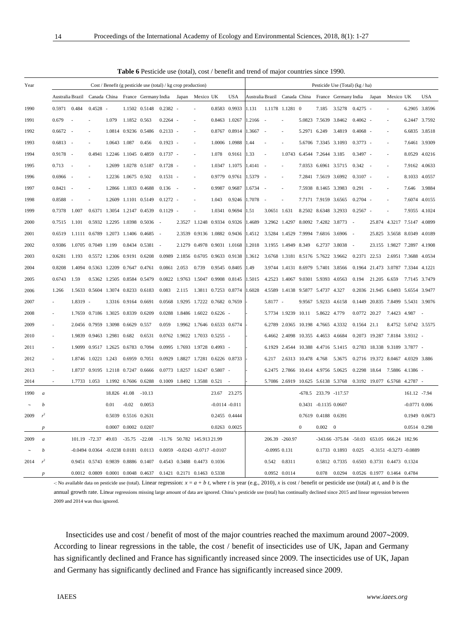| <b>Table 6</b> Pesticide use (total), cost / benefit and trend of major countries since 1990. |                                                               |                  |              |                                    |              |                             |                                                   |                                    |                                    |                             |                   |                                    |          |                            |                     |                                    |                       |                                                                    |                                    |        |                                    |                      |            |
|-----------------------------------------------------------------------------------------------|---------------------------------------------------------------|------------------|--------------|------------------------------------|--------------|-----------------------------|---------------------------------------------------|------------------------------------|------------------------------------|-----------------------------|-------------------|------------------------------------|----------|----------------------------|---------------------|------------------------------------|-----------------------|--------------------------------------------------------------------|------------------------------------|--------|------------------------------------|----------------------|------------|
| Year                                                                                          | Cost / Benefit (g pesticide use (total) / kg crop production) |                  |              |                                    |              |                             |                                                   |                                    |                                    |                             |                   |                                    |          |                            |                     | Pesticide Use (Total) (kg / ha)    |                       |                                                                    |                                    |        |                                    |                      |            |
|                                                                                               |                                                               | Australia Brazil |              |                                    |              |                             | Canada China France Germany India Japan Mexico UK |                                    |                                    |                             |                   | <b>USA</b>                         |          |                            |                     |                                    |                       | Australia Brazil Canada China France Germany India Japan Mexico UK |                                    |        |                                    |                      | <b>USA</b> |
| 1990                                                                                          |                                                               | 0.5971 0.484     |              | $0.4528 -$                         |              |                             | 1.1502 0.5148                                     | $0.2382 -$                         |                                    |                             |                   | 0.8583 0.9933                      | 1.131    |                            | 1.1178 1.1281 0     |                                    |                       | 7.185 3.5278                                                       | $0.4275 -$                         |        |                                    | 6.2905 3.8596        |            |
| 1991                                                                                          |                                                               | 0.679            |              |                                    | 1.079        | 1.1852 0.563                |                                                   | $0.2264 -$                         |                                    |                             |                   | 0.8463 1.0267                      | 1.2166   |                            |                     |                                    | 5.0823 7.5639 3.8462  |                                                                    | $0.4062 -$                         |        |                                    | 6.2447 3.7592        |            |
| 1992                                                                                          |                                                               | $0.6672 -$       |              | ÷.                                 |              | 1.0814 0.9236 0.5486        |                                                   | $0.2133 -$                         |                                    |                             |                   | 0.8767 0.8914                      | 1.3667 - |                            | ÷.                  | 5.2971 6.249                       |                       | 3.4819                                                             | $0.4068 -$                         |        |                                    | 6.6835 3.8518        |            |
| 1993                                                                                          |                                                               | $0.6813 -$       |              |                                    |              | 1.0643 1.087 0.456          |                                                   | $0.1923 -$                         |                                    |                             |                   | 1.0006 1.0988                      | 1.44     |                            |                     |                                    |                       | 5.6706 7.3345 3.1093                                               | $0.3773 -$                         |        |                                    | 7.6461 3.9309        |            |
| 1994                                                                                          |                                                               | $0.9178 -$       |              | 0.4941                             |              | 1.2246 1.1045 0.4859        |                                                   | $0.1737 -$                         |                                    |                             | 1.078             | 0.9161                             | 1.33     |                            |                     | 1.0743 6.4544 7.2644 3.185         |                       |                                                                    | $0.3497 -$                         |        |                                    | 8.0529 4.0216        |            |
| 1995                                                                                          |                                                               | 0.713            | $\sim$       |                                    |              | 1.2699 1.0278 0.5187        |                                                   | $0.1728 -$                         |                                    |                             |                   | 1.0347 1.1075                      | 1.4141 - |                            |                     |                                    |                       | 7.0353 6.6961 3.5715 0.342 -                                       |                                    |        |                                    | 7.9162 4.0633        |            |
| 1996                                                                                          |                                                               | $0.6966 -$       |              |                                    |              | 1.2236 1.0675 0.502         |                                                   | $0.1531 -$                         |                                    |                             |                   | 0.9779 0.9761                      | 1.5379   |                            |                     |                                    | 7.2841 7.5619 3.6992  |                                                                    | $0.3107 -$                         |        |                                    | 8.1033 4.0557        |            |
| 1997                                                                                          |                                                               | $0.8421 -$       |              |                                    |              | 1.2866 1.1833 0.4688        |                                                   | $0.136 -$                          |                                    |                             |                   | 0.9987 0.9687                      | 1.6734   |                            |                     |                                    | 7.5938 8.1465 3.3983  |                                                                    | 0.291                              | $\sim$ |                                    | 7.646 3.9884         |            |
| 1998                                                                                          |                                                               | 0.8588           | $\sim$       |                                    |              |                             | 1.2609 1.1101 0.5149                              | $0.1272 -$                         |                                    |                             | 1.043             | 0.9246                             | 1.7078   | $\sim$                     |                     |                                    |                       | 7.7171 7.9159 3.6565                                               | $0.2704 -$                         |        |                                    | 7.6074 4.0155        |            |
| 1999                                                                                          |                                                               | 0.7378           | 1.007        |                                    |              |                             | 0.6371 1.3054 1.2147 0.4539                       | $0.1129 -$                         |                                    |                             |                   | 1.0341 0.9694                      | 1.51     | 3.0651 1.631               |                     |                                    |                       | 8.2502 8.6348 3.2933                                               | $0.2567 -$                         |        |                                    | 7.9355 4.1024        |            |
| 2000                                                                                          |                                                               | 0.7515           | 1.101        |                                    |              |                             | 0.5932 1.2295 1.0398 0.5036 -                     |                                    |                                    |                             |                   | 2.3527 1.1248 0.9334 0.9326        | 1.4689   |                            |                     |                                    |                       | 3.2962 1.4297 8.0092 7.4282 3.8773 -                               |                                    |        | 25.874 4.3217 7.5147 4.0899        |                      |            |
| 2001                                                                                          |                                                               | 0.6519           |              |                                    |              |                             | 1.1111 0.6789 1.2073 1.1406 0.4685 -              |                                    |                                    |                             |                   | 2.3539 0.9136 1.0882 0.9436 1.4512 |          |                            |                     |                                    |                       | 3.5284 1.4529 7.9994 7.6816 3.6906 -                               |                                    |        | 25.825 3.5658 8.0349 4.0189        |                      |            |
| 2002                                                                                          |                                                               | 0.9386           |              |                                    |              |                             | 1.0705 0.7049 1.199 0.8434 0.5381 -               |                                    |                                    | 2.1279 0.4978 0.9031 1.0168 |                   |                                    |          | 1.2018 3.1955 1.4949 8.349 |                     |                                    |                       | 6.2737 3.8038 -                                                    |                                    |        | 23.155 1.9827 7.2897 4.1908        |                      |            |
| 2003                                                                                          |                                                               | 0.6281           | 1.193        | 0.5572 1.2306 0.9191 0.6208        |              |                             |                                                   | 0.0989 2.1856 0.6705 0.9633 0.9138 |                                    |                             |                   |                                    | 1.3612   |                            |                     |                                    |                       | 3.6768 1.3181 8.5176 5.7622 3.9662 0.2371 22.53                    |                                    |        | 2.6951 7.3688 4.0534               |                      |            |
| 2004                                                                                          |                                                               | 0.8208           |              | 1.4094 0.5363 1.2209 0.7647 0.4761 |              |                             |                                                   | 0.0861 2.053                       |                                    | 0.739                       |                   | 0.9545 0.8405                      | 1.49     |                            |                     | 3.9744 1.4131 8.6979 5.7401 3.8566 |                       |                                                                    | 0.1964 21.473 3.0787 7.3344 4.1221 |        |                                    |                      |            |
| 2005                                                                                          |                                                               | 0.6743           | 1.59         |                                    |              | 0.5362 1.2505 0.8584 0.5479 |                                                   |                                    | 0.0822 1.9763 1.5047 0.9908 0.8145 |                             |                   |                                    | 1.5015   |                            |                     | 4.2523 1.4067 9.0301 5.9393 4.0563 |                       |                                                                    | 0.194 21.205 6.659                 |        |                                    | 7.7145 3.7479        |            |
| 2006                                                                                          |                                                               | 1.266            |              | 1.5633 0.5604 1.3074 0.8233 0.6183 |              |                             |                                                   | 0.083                              | 2.115                              |                             |                   | 1.3811 0.7253 0.8774               | 1.6028   |                            |                     | 4.5589 1.4138 9.5877 5.4737 4.327  |                       |                                                                    |                                    |        | 0.2036 21.945 6.0493 5.6554 3.9477 |                      |            |
| 2007                                                                                          |                                                               |                  | 1.8319 -     |                                    |              | 1.3316 0.9164 0.6691        |                                                   |                                    | 0.0568 1.9295 1.7222 0.7682 0.7659 |                             |                   |                                    |          | 5.8177 -                   |                     |                                    | 9.9567 5.9233 4.6158  |                                                                    |                                    |        | 0.1449 20.835 7.8499 5.5431 3.9076 |                      |            |
| 2008                                                                                          |                                                               |                  |              | 1.7659 0.7186 1.3025 0.8339 0.6209 |              |                             |                                                   |                                    | $0.0288$ 1.8486 1.6022 0.6226 -    |                             |                   |                                    |          |                            | 5.7734 1.9239 10.11 |                                    | 5.8622 4.779          |                                                                    | 0.0772 20.27                       |        | 7.4423 4.987 -                     |                      |            |
| 2009                                                                                          |                                                               |                  |              | 2.0456 0.7959 1.3098 0.6629 0.557  |              |                             |                                                   | 0.059                              | 1.9962 1.7646 0.6533 0.6774        |                             |                   |                                    |          |                            |                     | 6.2789 2.0365 10.198 4.7665 4.3332 |                       |                                                                    | 0.1564 21.1                        |        |                                    | 8.4752 5.0742 3.5575 |            |
| 2010                                                                                          |                                                               |                  |              | 1.9839 0.9463 1.2981 0.682         |              |                             | 0.6531                                            |                                    | 0.0762 1.9022 1.7033 0.5255 -      |                             |                   |                                    |          |                            |                     | 6.4662 2.4098 10.355 4.4653 4.6684 |                       |                                                                    |                                    |        | 0.2073 19.287 7.8184 3.9312 -      |                      |            |
| 2011                                                                                          |                                                               |                  |              | 1.9099 0.9517 1.2625 0.6783 0.7094 |              |                             |                                                   |                                    | 0.0995 1.7693 1.9728 0.4993 -      |                             |                   |                                    |          |                            |                     |                                    |                       | 6.1929 2.4544 10.388 4.4716 5.1415 0.2783 18.338 9.3189 3.7877 -   |                                    |        |                                    |                      |            |
| 2012                                                                                          |                                                               |                  |              | 1.8746 1.0221 1.243 0.6959 0.7051  |              |                             |                                                   |                                    | 0.0929 1.8827 1.7281 0.6226 0.8733 |                             |                   |                                    |          | 6.217                      |                     |                                    |                       | 2.6313 10.478 4.768 5.3675 0.2716 19.372 8.0467 4.0329 3.886       |                                    |        |                                    |                      |            |
| 2013                                                                                          |                                                               |                  |              | 1.8737 0.9195 1.2118 0.7247 0.6666 |              |                             |                                                   |                                    | $0.0773$ 1.8257 1.6247 0.5807 -    |                             |                   |                                    |          |                            |                     | 6.2475 2.7866 10.414 4.9756 5.0625 |                       |                                                                    | 0.2298 18.64                       |        | 7.5886 4.1386 -                    |                      |            |
| 2014                                                                                          |                                                               |                  | 1.7733 1.053 |                                    |              |                             | 1.1992 0.7606 0.6288                              |                                    | 0.1009 1.8492 1.3588 0.521         |                             |                   |                                    |          |                            | 5.7086 2.6919       |                                    |                       | 10.625 5.6138 5.3768 0.3192 19.077 6.5768 4.2787 -                 |                                    |        |                                    |                      |            |
| 1990                                                                                          | $\boldsymbol{a}$                                              |                  |              |                                    | 18.826 41.08 |                             | $-10.13$                                          |                                    |                                    |                             |                   | 23.67 23.275                       |          |                            |                     |                                    |                       | -678.5 233.79 -117.57                                              |                                    |        |                                    | 161.12 -7.94         |            |
|                                                                                               | h                                                             |                  |              |                                    | 0.01         | $-0.02$                     | 0.0053                                            |                                    |                                    |                             | $-0.0114 - 0.011$ |                                    |          |                            |                     |                                    | 0.3431 -0.1135 0.0607 |                                                                    |                                    |        |                                    | $-0.0771$ 0.006      |            |
| 2009                                                                                          |                                                               |                  |              |                                    |              | 0.5039 0.5516 0.2631        |                                                   |                                    |                                    |                             |                   | 0.2455 0.4444                      |          |                            |                     |                                    | 0.7619 0.4188 0.6391  |                                                                    |                                    |        |                                    | 0.1949 0.0673        |            |

**Table 6** Pesticide use (total), cost / benefit and trend of major countries since 1990.

-: No available data on pesticide use (total). Linear regression:  $x = a + b$  *t*, where *t* is year (e.g., 2010), *x* is cost / benefit or pesticide use (total) at *t*, and *b* is the annual growth rate. Linear regressions missing large amount of data are ignored. China's pesticide use (total) has continually declined since 2015 and linear regression between 2009 and 2014 was thus ignored.

*p* 0.0012 0.0809 0.0001 0.0048 0.4637 0.1421 0.2171 0.1463 0.5338 0.0952 0.0114 0.078 0.0294 0.0526 0.1977 0.1464 0.4784

*p* 0.0007 0.0002 0.0207 0.0263 0.0025 0.0263 0.0025 0 0.002 0 0.002 0 0.0514 0.298

0.9451 0.5743 0.9839 0.8886 0.1407 0.4543 0.3488 0.4473 0.1036 0.542 0.8311 0.5812 0.7335 0.6503 0.3731 0.4473 0.1324

2009 *a* 101.19 -72.37 49.03 -35.75 -22.08 -11.76 50.782 145.913 21.99 206.39 -260.97 -343.66 -375.84 -50.03 653.05 666.24 182.96 *b* -0.0494 0.0364 -0.0238 0.0181 0.0113 0.0059 -0.0243 -0.0717 -0.0107 -0.0995 0.131 0.1733 0.1893 0.025 -0.3151 -0.3273 -0.0889

Insecticides use and cost / benefit of most of the major countries reached the maximum around  $2007~2009$ . According to linear regressions in the table, the cost / benefit of insecticides use of UK, Japan and Germany has significantly declined and France has significantly increased since 2009. The insecticides use of UK, Japan and Germany has significantly declined and France has significantly increased since 2009.

2014 *r*  $r<sup>2</sup>$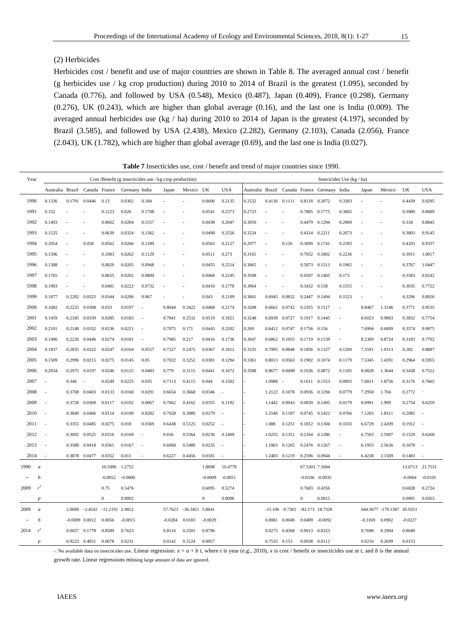### (2) Herbicides

Herbicides cost / benefit and use of major countries are shown in Table 8. The averaged annual cost / benefit (g herbicides use / kg crop production) during 2010 to 2014 of Brazil is the greatest (1.095), seconded by Canada (0.776), and followed by USA (0.548), Mexico (0.487), Japan (0.409), France (0.298), Germany (0.276), UK (0.243), which are higher than global average (0.16), and the last one is India (0.009). The averaged annual herbicides use (kg / ha) during 2010 to 2014 of Japan is the greatest (4.197), seconded by Brazil (3.585), and followed by USA (2.438), Mexico (2.282), Germany (2.103), Canada (2.056), France (2.043), UK (1.782), which are higher than global average (0.69), and the last one is India (0.027).

| <b>Table 7</b> Insecticides use, cost / benefit and trend of major countries since 1990. |  |  |  |  |
|------------------------------------------------------------------------------------------|--|--|--|--|
|------------------------------------------------------------------------------------------|--|--|--|--|

| Year |                  |                  |        |                          |                  |               | Cost /Benefit (g insecticides use / $kg$ crop production) |           |                         |           |            |        |               |                    |                |                                              | Insecicides Use (kg / ha) |           |                    |                 |                          |
|------|------------------|------------------|--------|--------------------------|------------------|---------------|-----------------------------------------------------------|-----------|-------------------------|-----------|------------|--------|---------------|--------------------|----------------|----------------------------------------------|---------------------------|-----------|--------------------|-----------------|--------------------------|
|      |                  | Australia Brazil |        | Canada France            |                  | Germany India |                                                           | Japan     | Mexico                  | UK        | <b>USA</b> |        |               |                    |                | Australia Brazil Canada France Germany India |                           | Japan     | Mexico             | UK              | <b>USA</b>               |
| 1990 |                  | 0.1336           |        | 0.1791 0.0446            | 0.13             | 0.0302        | 0.184                                                     |           |                         | 0.0606    | 0.2135     | 0.2532 |               | 0.4136 0.1111      | 0.8118 0.2072  |                                              | 0.3303                    |           |                    | 0.4439          | 0.8295                   |
| 1991 |                  | 0.152            |        |                          | 0.1223           | 0.026         | 0.1708                                                    |           |                         | 0.0541    | 0.2373     | 0.2723 |               |                    | 0.7805 0.1775  |                                              | 0.3065                    |           |                    | 0.3989          | 0.8689                   |
| 1992 |                  | 0.1493           |        |                          | 0.0662           | 0.0204        | 0.1557                                                    |           |                         | 0.0438    | 0.2047     | 0.3059 |               |                    | 0.4479 0.1294  |                                              | 0.2969                    |           |                    | 0.334           | 0.8845                   |
| 1993 |                  | 0.1525           |        |                          | 0.0639           | 0.0324        | 0.1362                                                    |           |                         | 0.0498    | 0.2556     | 0.3224 |               |                    | 0.4314 0.2211  |                                              | 0.2673                    |           |                    | 0.3803          | 0.9145                   |
| 1994 |                  | 0.2054           | ٠      | 0.058                    | 0.0562           | 0.0266        | 0.1189                                                    |           |                         | 0.0563    | 0.2127     | 0.2977 |               | 0.126              | 0.3699 0.1741  |                                              | 0.2393                    |           |                    | 0.4203          | 0.9337                   |
| 1995 |                  | 0.1596           |        |                          | 0.1083           | 0.0262        | 0.1129                                                    |           |                         | 0.0511    | 0.273      | 0.3165 |               |                    | 0.7052 0.1802  |                                              | 0.2236                    |           |                    | 0.3911          | 1.0017                   |
| 1996 |                  | 0.1388           |        |                          | 0.0829           | 0.0205        | 0.0968                                                    |           |                         | 0.0455    | 0.2514     | 0.3065 |               |                    | 0.5873 0.1513  |                                              | 0.1965                    |           |                    | 0.3767          | 1.0447                   |
| 1997 |                  | 0.1765           |        |                          | 0.0655           | 0.0202        | 0.0809                                                    |           |                         | 0.0468    | 0.2245     | 0.3508 |               |                    | 0.4507 0.1465  |                                              | 0.173                     |           |                    | 0.3583          | 0.9242                   |
| 1998 |                  | 0.1993           |        |                          | 0.0481           | 0.0222        | 0.0732                                                    |           |                         | 0.0416    | 0.1778     | 0.3964 |               |                    | 0.3432 0.158   |                                              | 0.1555                    |           |                    | 0.3035          | 0.7722                   |
| 1999 |                  | 0.1877           |        | 0.2282 0.0325            | 0.0344           | 0.0206        | 0.067                                                     |           |                         | 0.043     | 0.2109     | 0.3841 | 0.6945        | 0.0832             | 0.2447 0.1494  |                                              | 0.1523                    |           |                    | 0.3296          | 0.8926                   |
| 2000 |                  | 0.1682           |        | 0.2225 0.0308            | 0.033            | 0.0197        | ÷,                                                        | 0.8044    | 0.3422                  | 0.0468    | 0.2174     | 0.3288 | 0.6662        | 0.0742             | 0.2355 0.1517  |                                              | ÷                         | 8.8467    | 1.3146             | 0.3771          | 0.9535                   |
| 2001 |                  | 0.1459           |        | 0.2185 0.0339            | 0.0285           | 0.0183        | ÷.                                                        | 0.7841    | 0.2532                  | 0.0519    | 0.1821     | 0.3248 |               | 0.6939 0.0727      | 0.1917 0.1445  |                                              | ÷,                        | 8.6023    | 0.9883             | 0.3832          | 0.7754                   |
| 2002 |                  | 0.2101           |        | 0.2148 0.0352            | 0.0236           | 0.0221        |                                                           | 0.7075    | 0.171                   | 0.0443    | 0.2202     | 0.269  | 0.6412 0.0747 |                    | 0.1756 0.156   |                                              |                           | 7.6994    | 0.6809             | 0.3574          | 0.9075                   |
| 2003 |                  | 0.1406           |        | 0.2226 0.0446            | 0.0274           | 0.0181        | ×,                                                        | 0.7985    | 0.217                   | 0.0416    | 0.1736     | 0.3047 | 0.6862        | 0.1055             | 0.1719 0.1159  |                                              |                           | 8.2309    | 0.8724             | 0.3183          | 0.7702                   |
| 2004 |                  | 0.1837           | 0.2835 | 0.0322                   | 0.0247           | 0.0164        | 0.0557                                                    | 0.7227    | 0.2475                  | 0.0367    | 0.1812     | 0.3335 | 0.7995        | 0.0848             | 0.1856 0.1327  |                                              | 0.1269                    | 7.5591    | 1.0313             | 0.282           | 0.8887                   |
| 2005 |                  | 0.1509           |        | 0.2996 0.0215            | 0.0275           | 0.0145        | 0.05                                                      | 0.7022    | 0.3252                  | 0.0381    | 0.1294     | 0.3361 |               | 0.8013 0.0563      | 0.1902 0.1074  |                                              | 0.1179                    | 7.5345    | 1.4391             | 0.2964          | 0.5955                   |
| 2006 |                  | 0.2834           |        | 0.2975 0.0197            | 0.0246           | 0.0125        | 0.0483                                                    | 0.779     | 0.3115                  | 0.0441    | 0.1672     | 0.3588 | 0.8677        | 0.0498             | 0.1636 0.0872  |                                              | 0.1185                    | 8.0828    | 1.3644             | 0.3438          | 0.7522                   |
| 2007 |                  |                  | 0.346  | $\overline{\phantom{a}}$ | 0.0249           | 0.0225        | 0.035                                                     | 0.7113    | 0.4115                  | 0.044     | 0.1502     |        | 1.0988        | $\sim$             | 0.1611 0.1553  |                                              | 0.0893                    | 7.6811    | 1.8756             | 0.3176          | 0.7665                   |
| 2008 |                  |                  |        | 0.3708 0.0403            | 0.0133           | 0.0168        | 0.0291                                                    | 0.6654    | 0.3668                  | 0.0346    | ÷,         |        | 1.2122        | 0.1078             | 0.0936 0.1294  |                                              | 0.0779                    | 7.2958    | 1.704              | 0.2772          | ÷,                       |
| 2009 |                  |                  |        | 0.3728 0.0369            | 0.0117           | 0.0192        | 0.0067                                                    | 0.7662    | 0.4162                  | 0.0355    | 0.1192     |        |               | 1.1442 0.0943      | 0.0839 0.1495  |                                              | 0.0179                    | 8.0991    | 1.999              | 0.2754          | 0.6259                   |
| 2010 |                  |                  | 0.3849 | 0.0466                   | 0.0114           | 0.0199        | 0.0282                                                    | 0.7028    | 0.3989                  | 0.0279    | ×,         |        | 1.2546        | 0.1187             | 0.0745 0.1422  |                                              | 0.0766                    | 7.1265    | 1.8311             | 0.2085          | $\sim$                   |
| 2011 |                  | ÷.               | 0.3355 | 0.0485                   | 0.0275           | 0.018         | 0.0369                                                    | 0.6438    | 0.5125                  | 0.0252    | ٠.         |        | 1.088         | 0.1251             | 0.1812 0.1304  |                                              | 0.1033                    | 6.6729    | 2.4209             | 0.1912          | $\sim$                   |
| 2012 |                  |                  | 0.3092 | 0.0525                   | 0.0316           | 0.0169        | ÷,                                                        | 0.656     | 0.5564                  | 0.0236    | 0.1409     |        | 1.0255        | 0.1351             | 0.2164         | 0.1286                                       |                           | 6.7503    | 2.5907             | 0.1529          | 0.6268                   |
| 2013 |                  | $\sim$           | 0.3588 | 0.0418                   | 0.0361           | 0.0167        | $\overline{\phantom{a}}$                                  | 0.6068    | 0.5489                  | 0.0235    | ٠.         |        | 1.1963        | 0.1265             | 0.2476 0.1267  |                                              | ٠                         | 6.1955    | 2.5636             | 0.1678          | $\overline{\phantom{a}}$ |
| 2014 |                  | ÷.               | 0.3878 | 0.0477                   | 0.0352           | 0.011         | ÷                                                         | 0.6227    | 0.4456                  | 0.0181    | ×,         |        | 1.2483        | 0.1219             | 0.2596 0.0944  |                                              |                           | 6.4238    | 2.1569             | 0.1483          | $\overline{\phantom{a}}$ |
| 1990 | $\boldsymbol{a}$ |                  |        |                          | 10.5096 1.2752   |               |                                                           |           |                         | 1.8698    | 10.4778    |        |               |                    | 67.5303 7.1684 |                                              |                           |           |                    | 13.0713 21.7551 |                          |
|      | b                |                  |        |                          | $-0.0052$        | $-0.0006$     |                                                           |           |                         | $-0.0009$ | $-0.0051$  |        |               |                    |                | $-0.0336 - 0.0035$                           |                           |           |                    | $-0.0064$       | $-0.0105$                |
| 2009 | $r^2$            |                  |        |                          | 0.75             | 0.5476        |                                                           |           |                         | 0.6095    | 0.5274     |        |               |                    | 0.7683 0.4356  |                                              |                           |           |                    | 0.6028          | 0.2724                   |
|      | $\boldsymbol{p}$ |                  |        |                          | $\boldsymbol{0}$ | 0.0002        |                                                           |           |                         | $\bf{0}$  | 0.0006     |        |               |                    | $\bf{0}$       | 0.0015                                       |                           |           |                    | 0.0001          | 0.0263                   |
| 2009 | $\boldsymbol{a}$ |                  | 2.0689 | $-2.4542$                | -11.2191 2.9822  |               |                                                           |           | 57.7623 -36.3451 5.8641 |           |            |        |               | $-15.106 - 9.7301$ |                | -82.173 18.7328                              |                           |           | 644.3677 -179.1387 | 45.9351         |                          |
|      | $\boldsymbol{b}$ |                  |        | $-0.0009$ $0.0012$       | 0.0056           | $-0.0015$     |                                                           | $-0.0284$ | 0.0183                  | $-0.0029$ |            |        | 0.0081        | 0.0049             | 0.0409         | $-0.0092$                                    |                           | $-0.3169$ | 0.0902             | $-0.0227$       |                          |
| 2014 | $r^2$            |                  | 0.0027 | 0.1778                   | 0.8589           | 0.7623        |                                                           | 0.8116    | 0.2501                  | 0.8796    |            |        | 0.0275        | 0.4368             | 0.9013 0.8323  |                                              |                           | 0.7698    | 0.2904             | 0.8049          |                          |
|      | $\boldsymbol{D}$ |                  |        | 0.9223 0.4051            | 0.0078           | 0.0231        |                                                           | 0.0142    | 0.3124                  | 0.0057    |            |        | 0.7535 0.153  |                    | 0.0038 0.0112  |                                              |                           | 0.0216    | 0.2699             | 0.0153          |                          |

-: No available data on insecticides use. Linear regression:  $x = a + b$  *t*, where *t* is year (e.g., 2010), *x* is cost / benefit or insecticides use at *t*, and *b* is the annual

growth rate. Linear regressions missing large amount of data are ignored.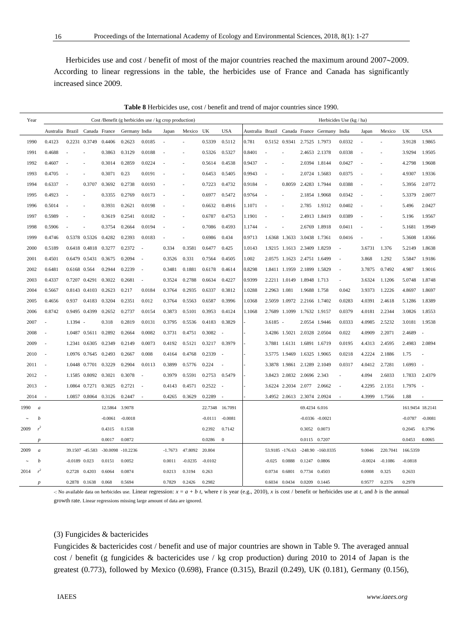Herbicides use and cost / benefit of most of the major countries reached the maximum around  $2007~2009$ . According to linear regressions in the table, the herbicides use of France and Canada has significantly increased since 2009.

|      | Table 8 Herbicides use, cost / benefit and trend of major countries since 1990. |                                |                          |                      |           |                       |                                                       |           |           |                 |                          |        |                          |                             |               |                                              |                          |                |           |           |                  |
|------|---------------------------------------------------------------------------------|--------------------------------|--------------------------|----------------------|-----------|-----------------------|-------------------------------------------------------|-----------|-----------|-----------------|--------------------------|--------|--------------------------|-----------------------------|---------------|----------------------------------------------|--------------------------|----------------|-----------|-----------|------------------|
| Year |                                                                                 |                                |                          |                      |           |                       | Cost /Benefit (g herbicides use / kg crop production) |           |           |                 |                          |        |                          |                             |               |                                              | Herbicides Use (kg / ha) |                |           |           |                  |
|      |                                                                                 | Australia Brazil Canada France |                          |                      |           | Germany India         |                                                       | Japan     | Mexico UK |                 | <b>USA</b>               |        |                          |                             |               | Australia Brazil Canada France Germany India |                          | Japan          | Mexico    | UK        | <b>USA</b>       |
| 1990 |                                                                                 | 0.4123                         | 0.2231                   | 0.3749               | 0.4406    | 0.2623                | 0.0185                                                |           |           | 0.5339          | 0.5112                   | 0.781  |                          | 0.5152 0.9341               | 2.7525 1.7973 |                                              | 0.0332                   |                |           | 3.9128    | 1.9865           |
| 1991 |                                                                                 | 0.4688                         |                          |                      | 0.3863    | 0.3129                | 0.0188                                                |           |           | 0.5326          | 0.5327                   | 0.8401 |                          |                             | 2.4653 2.1378 |                                              | 0.0338                   |                |           | 3.9294    | 1.9505           |
| 1992 |                                                                                 | 0.4607                         |                          |                      | 0.3014    | 0.2859                | 0.0224                                                |           |           | 0.5614          | 0.4538                   | 0.9437 |                          |                             | 2.0394 1.8144 |                                              | 0.0427                   |                |           | 4.2798    | 1.9608           |
| 1993 |                                                                                 | 0.4705                         |                          |                      | 0.3071    | 0.23                  | 0.0191                                                |           |           | 0.6453          | 0.5405                   | 0.9943 |                          |                             | 2.0724 1.5683 |                                              | 0.0375                   |                |           | 4.9307    | 1.9336           |
| 1994 |                                                                                 | 0.6337                         | ÷.                       | 0.3707               | 0.3692    | 0.2738                | 0.0193                                                |           |           | 0.7223          | 0.4732                   | 0.9184 | ÷,                       | 0.8059                      | 2.4283 1.7944 |                                              | 0.0388                   | ٠              |           | 5.3956    | 2.0772           |
| 1995 |                                                                                 | 0.4923                         | $\overline{\phantom{a}}$ |                      | 0.3355    | 0.2769                | 0.0173                                                |           |           | 0.6977          | 0.5472                   | 0.9764 | $\overline{\phantom{a}}$ |                             | 2.1854 1.9068 |                                              | 0.0342                   | $\overline{a}$ |           | 5.3379    | 2.0077           |
| 1996 |                                                                                 | 0.5014                         |                          |                      | 0.3931    | 0.2621                | 0.0198                                                |           |           | 0.6632          | 0.4916                   | 1.1071 | ÷.                       |                             | 2.785         | 1.9312                                       | 0.0402                   |                |           | 5.496     | 2.0427           |
| 1997 |                                                                                 | 0.5989                         |                          |                      | 0.3619    | 0.2541                | 0.0182                                                |           |           | 0.6787          | 0.4753                   | 1.1901 |                          |                             | 2.4913 1.8419 |                                              | 0.0389                   |                |           | 5.196     | 1.9567           |
| 1998 |                                                                                 | 0.5906                         |                          |                      | 0.3754    | 0.2664                | 0.0194                                                |           |           | 0.7086          | 0.4593                   | 1.1744 |                          |                             | 2.6769 1.8918 |                                              | 0.0411                   |                |           | 5.1681    | 1.9949           |
| 1999 |                                                                                 | 0.4746                         |                          | 0.5378 0.5326        | 0.4282    | 0.2393                | 0.0183                                                |           |           | 0.6986          | 0.434                    | 0.9713 |                          | 1.6368 1.3633               | 3.0438 1.7361 |                                              | 0.0416                   |                |           | 5.3608    | 1.8366           |
| 2000 |                                                                                 | 0.5189                         |                          | 0.6418 0.4818        | 0.3277    | 0.2372                | ٠.                                                    | 0.334     | 0.3581    | 0.6477          | 0.425                    | 1.0143 |                          | 1.9215 1.1613 2.3409 1.8259 |               |                                              | ä,                       | 3.6731         | 1.376     | 5.2149    | 1.8638           |
| 2001 |                                                                                 | 0.4501                         |                          | 0.6479 0.5431        | 0.3675    | 0.2094                | ÷.                                                    | 0.3526    | 0.331     | 0.7564          | 0.4505                   | 1.002  |                          | 2.0575 1.1623 2.4751 1.6499 |               |                                              | ä,                       | 3.868          | 1.292     | 5.5847    | 1.9186           |
| 2002 |                                                                                 | 0.6481                         | 0.6168 0.564             |                      | 0.2944    | 0.2239                | ÷.                                                    | 0.3481    | 0.1881    | 0.6178          | 0.4614                   | 0.8298 |                          | 1.8411 1.1959 2.1899 1.5829 |               |                                              | $\overline{\phantom{a}}$ | 3.7875         | 0.7492    | 4.987     | 1.9016           |
| 2003 |                                                                                 | 0.4337                         |                          | 0.7207 0.4291        | 0.3022    | 0.2681                | $\overline{\phantom{a}}$                              | 0.3524    | 0.2788    | 0.6634          | 0.4227                   | 0.9399 |                          | 2.2211 1.0149               | 1.8948 1.713  |                                              | ÷.                       | 3.6324         | 1.1206    | 5.0748    | 1.8748           |
| 2004 |                                                                                 | 0.5667                         |                          | 0.8143 0.4103        | 0.2623    | 0.217                 | 0.0184                                                | 0.3764    | 0.2935    | 0.6337          | 0.3812                   | 1.0288 | 2.2963 1.081             |                             | 1.9688 1.758  |                                              | 0.042                    | 3.9373         | 1.2226    | 4.8697    | 1.8697           |
| 2005 |                                                                                 | 0.4656                         | 0.937                    | 0.4183               | 0.3204    | 0.2351                | 0.012                                                 | 0.3764    | 0.5563    | 0.6587          | 0.3996                   | 1.0368 |                          | 2.5059 1.0972               | 2.2166 1.7402 |                                              | 0.0283                   | 4.0391         | 2.4618    | 5.1286    | 1.8389           |
| 2006 |                                                                                 | 0.8742                         |                          | 0.9495 0.4399        | 0.2652    | 0.2737                | 0.0154                                                | 0.3873    | 0.5101    | 0.3953          | 0.4124                   | 1.1068 |                          | 2.7689 1.1099               | 1.7632 1.9157 |                                              | 0.0379                   | 4.0181         | 2.2344    | 3.0826    | 1.8553           |
| 2007 |                                                                                 | ÷.                             | $1.1394 -$               |                      | 0.318     | 0.2819                | 0.0131                                                | 0.3795    | 0.5536    | 0.4183          | 0.3829                   |        | $3.6185 -$               |                             |               | 2.0554 1.9446                                | 0.0333                   | 4.0985         | 2.5232    | 3.0181    | 1.9538           |
| 2008 |                                                                                 | $\overline{a}$                 |                          | 1.0487 0.5611        | 0.2892    | 0.2664                | 0.0082                                                | 0.3731    | 0.4751    | 0.3082          | $\overline{\phantom{a}}$ |        |                          | 3.4286 1.5021               | 2.0328 2.0504 |                                              | 0.022                    | 4.0909         | 2.2071    | 2.4689    | J.               |
| 2009 |                                                                                 | $\sim$                         | 1.2341                   | 0.6305               | 0.2349    | 0.2149                | 0.0073                                                | 0.4192    | 0.5121    | 0.3217          | 0.3979                   |        |                          | 3.7881 1.6131               | 1.6891 1.6719 |                                              | 0.0195                   | 4.4313         | 2.4595    | 2.4983    | 2.0894           |
| 2010 |                                                                                 | $\sim$                         |                          | 1.0976 0.7645        | 0.2493    | 0.2667                | 0.008                                                 | 0.4164    | 0.4768    | 0.2339          | $\overline{\phantom{a}}$ |        |                          | 3.5775 1.9469               | 1.6325 1.9065 |                                              | 0.0218                   | 4.2224         | 2.1886    | 1.75      | ÷,               |
| 2011 |                                                                                 | ÷.                             |                          | 1.0448 0.7701        | 0.3229    | 0.2904                | 0.0113                                                | 0.3899    | 0.5776    | 0.224           | J.                       |        |                          | 3.3878 1.9861               | 2.1289 2.1049 |                                              | 0.0317                   | 4.0412         | 2.7281    | 1.6993    | J.               |
| 2012 |                                                                                 | $\sim$                         |                          | 1.1585 0.8092 0.3021 |           | 0.3078                | ÷.                                                    | 0.3979    | 0.5591    | 0.2753          | 0.5479                   |        |                          | 3.8423 2.0832 2.0696 2.343  |               |                                              | ×,                       | 4.094          | 2.6033    | 1.7833    | 2.4379           |
| 2013 |                                                                                 | ä,                             |                          | 1.0864 0.7271        | 0.3025    | 0.2721                | $\overline{\phantom{a}}$                              | 0.4143    | 0.4571    | 0.2522          | $\overline{\phantom{a}}$ |        |                          | 3.6224 2.2034 2.077         |               | 2.0662                                       |                          | 4.2295         | 2.1351    | 1.7976    |                  |
| 2014 |                                                                                 | ÷.                             |                          | 1.0857 0.8064        | 0.3126    | 0.2447                | $\overline{\phantom{a}}$                              | 0.4265    | 0.3629    | 0.2289          | $\sim$                   |        |                          | 3.4952 2.0613               | 2.3074 2.0924 |                                              |                          | 4.3999         | 1.7566    | 1.88      |                  |
| 1990 | $\boldsymbol{a}$                                                                |                                |                          |                      | 12.5864   | 3.9078                |                                                       |           |           | 22.7348 16.7091 |                          |        |                          |                             | 69.4234 6.016 |                                              |                          |                |           |           | 161.9454 18.2141 |
|      | b                                                                               |                                |                          |                      | $-0.0061$ | $-0.0018$             |                                                       |           |           | $-0.0111$       | $-0.0081$                |        |                          |                             |               | $-0.0336 - 0.0021$                           |                          |                |           | $-0.0787$ | $-0.0081$        |
| 2009 | $r^2$                                                                           |                                |                          |                      | 0.4315    | 0.1538                |                                                       |           |           | 0.2392          | 0.7142                   |        |                          |                             | 0.3052 0.0073 |                                              |                          |                |           | 0.2045    | 0.3796           |
|      | $\boldsymbol{p}$                                                                |                                |                          |                      | 0.0017    | 0.0872                |                                                       |           |           | 0.0286          | $\mathbf{0}$             |        |                          |                             | 0.0115 0.7207 |                                              |                          |                |           | 0.0453    | 0.0065           |
| 2009 | $\boldsymbol{a}$                                                                |                                |                          | 39.1507 -45.583      |           | $-30.0098$ $-10.2236$ |                                                       | $-1.7673$ | 47.8092   | 20.804          |                          |        |                          | 53.9185 -176.63             |               | $-248.90 - 160.0335$                         |                          | 9.0046         | 220.7041  | 166.5359  |                  |
|      | b                                                                               |                                | $-0.0189$ $0.023$        |                      | 0.0151    | 0.0052                |                                                       | 0.0011    | $-0.0235$ | $-0.0102$       |                          |        | $-0.025$                 | 0.0888                      | 0.1247        | 0.0806                                       |                          | $-0.0024$      | $-0.1086$ | $-0.0818$ |                  |
| 2014 | r <sup>2</sup>                                                                  |                                | 0.2728                   | 0.4203               | 0.6064    | 0.0874                |                                                       | 0.0213    | 0.3194    | 0.263           |                          |        | 0.0734                   | 0.6801                      | 0.7734        | 0.4503                                       |                          | 0.0008         | 0.325     | 0.2633    |                  |
|      | $\boldsymbol{p}$                                                                |                                | 0.2878                   | 0.1638               | 0.068     | 0.5694                |                                                       | 0.7829    | 0.2426    | 0.2982          |                          |        | 0.6034                   | 0.0434                      | 0.0209        | 0.1445                                       |                          | 0.9577         | 0.2376    | 0.2978    |                  |

-: No available data on herbicides use. Linear regression:  $x = a + b$  t, where t is year (e.g., 2010), x is cost / benefit or herbicides use at t, and b is the annual growth rate. Linear regressions missing large amount of data are ignored.

# (3) Fungicides & bactericides

Fungicides & bactericides cost / benefit and use of major countries are shown in Table 9. The averaged annual cost / benefit (g fungicides & bactericides use / kg crop production) during 2010 to 2014 of Japan is the greatest (0.773), followed by Mexico (0.698), France (0.315), Brazil (0.249), UK (0.181), Germany (0.156),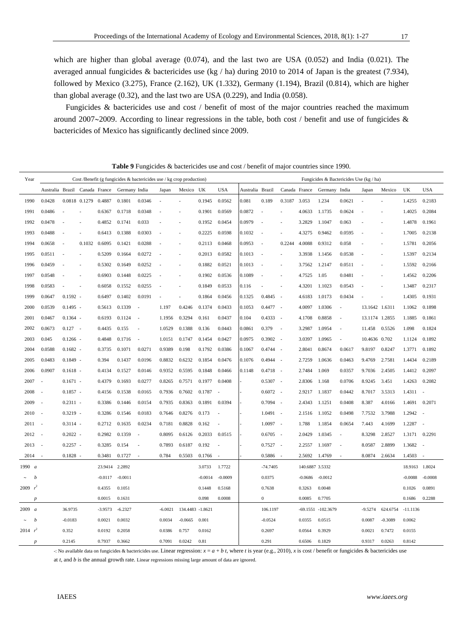which are higher than global average (0.074), and the last two are USA (0.052) and India (0.021). The averaged annual fungicides & bactericides use (kg / ha) during 2010 to 2014 of Japan is the greatest (7.934), followed by Mexico (3.275), France (2.162), UK (1.332), Germany (1.194), Brazil (0.814), which are higher than global average (0.32), and the last two are USA (0.229), and India (0.058).

Fungicides & bactericides use and cost / benefit of most of the major countries reached the maximum around 2007 $\sim$ 2009. According to linear regressions in the table, both cost / benefit and use of fungicides & bactericides of Mexico has significantly declined since 2009.

| Year                   | Cost /Benefit (g fungicides $\&$ bactericides use / kg crop production)<br>Fungicides & Bactericides Use (kg / ha) |            |                      |                |               |                          |           |                  |           |                          |                  |                  |                          |                 |                    |                          |                |           |                |            |
|------------------------|--------------------------------------------------------------------------------------------------------------------|------------|----------------------|----------------|---------------|--------------------------|-----------|------------------|-----------|--------------------------|------------------|------------------|--------------------------|-----------------|--------------------|--------------------------|----------------|-----------|----------------|------------|
|                        | Australia Brazil Canada France                                                                                     |            |                      |                | Germany India |                          | Japan     | Mexico UK        |           | <b>USA</b>               | Australia Brazil |                  |                          | Canada France   | Germany India      |                          | Japan          | Mexico    | UK             | <b>USA</b> |
| 1990                   | 0.0428                                                                                                             |            | 0.0818 0.1279 0.4887 |                | 0.1801        | 0.0346                   |           |                  | 0.1945    | 0.0562                   | 0.081            | 0.189            | 0.3187 3.053             |                 | 1.234              | 0.0621                   |                |           | 1.4255         | 0.2183     |
| 1991                   | 0.0486                                                                                                             |            |                      | 0.6367         | 0.1718        | 0.0348                   |           |                  | 0.1901    | 0.0569                   | 0.0872           |                  |                          | 4.0633          | 1.1735             | 0.0624                   |                |           | 1.4025         | 0.2084     |
| 1992                   | 0.0478                                                                                                             | ÷,         |                      | 0.4852         | 0.1741        | 0.033                    |           |                  | 0.1952    | 0.0454                   | 0.0979           | Ĭ.               |                          | 3.2829          | 1.1047             | 0.063                    |                |           | 1.4878         | 0.1961     |
| 1993                   | 0.0488                                                                                                             |            |                      | 0.6413         | 0.1388        | 0.0303                   |           |                  | 0.2225    | 0.0598                   | 0.1032           | J.               |                          | 4.3275          | 0.9462             | 0.0595                   |                |           | 1.7005         | 0.2138     |
| 1994                   | 0.0658                                                                                                             | ٠          | 0.1032 0.6095        |                | 0.1421        | 0.0288                   |           |                  | 0.2113    | 0.0468                   | 0.0953           | $\sim$           | 0.2244                   | 4.0088          | 0.9312             | 0.058                    |                |           | 1.5781         | 0.2056     |
| 1995                   | 0.0511                                                                                                             |            | $\sim$               | 0.5209         | 0.1664        | 0.0272                   |           | ٠                | 0.2013    | 0.0582                   | 0.1013           | ٠                | $\overline{\phantom{a}}$ | 3.3938          | 1.1456             | 0.0538                   |                |           | 1.5397         | 0.2134     |
| 1996                   | 0.0459                                                                                                             |            | $\sim$               | 0.5302         | 0.1649        | 0.0252                   |           | $\overline{a}$   | 0.1882    | 0.0521                   | 0.1013           |                  | $\overline{\phantom{a}}$ | 3.7562          | 1.2147             | 0.0511                   |                |           | 1.5592         | 0.2166     |
| 1997                   | 0.0548                                                                                                             |            | ٠                    | 0.6903         | 0.1448        | 0.0225                   | ÷,        | $\sim$           | 0.1902    | 0.0536                   | 0.1089           | J.               | $\overline{\phantom{a}}$ | 4.7525          | 1.05               | 0.0481                   |                |           | 1.4562         | 0.2206     |
| 1998                   | 0.0583                                                                                                             | ÷,         | ÷.                   | 0.6058         | 0.1552        | 0.0255                   | ÷,        |                  | 0.1849    | 0.0533                   | 0.116            |                  | $\overline{\phantom{a}}$ | 4.3201          | 1.1023             | 0.0543                   |                |           | 1.3487         | 0.2317     |
| 1999                   | 0.0647                                                                                                             | $0.1592 -$ |                      | 0.6497         | 0.1402        | 0.0191                   |           |                  | 0.1864    | 0.0456                   | 0.1325           | 0.4845           | $\sim$                   | 4.6183          | 1.0173             | 0.0434                   |                |           | 1.4305         | 0.1931     |
| 2000                   | 0.0539                                                                                                             | $0.1495 -$ |                      | 0.5613         | 0.1339        | $\overline{\phantom{a}}$ | 1.197     | 0.4246           | 0.1374    | 0.0433                   | 0.1053           | $0.4477 -$       |                          | 4.0097          | 1.0306             | $\overline{\phantom{a}}$ | 13.1642 1.6311 |           | 1.1062         | 0.1898     |
| 2001                   | 0.0467                                                                                                             | $0.1364 -$ |                      | 0.6193         | 0.1124        | ÷.                       | 1.1956    | 0.3294           | 0.161     | 0.0437                   | 0.104            | $0.4333 -$       |                          | 4.1708          | 0.8858             | $\overline{\phantom{a}}$ | 13.1174 1.2855 |           | 1.1885         | 0.1861     |
| 2002                   | 0.0673                                                                                                             | $0.127 -$  |                      | 0.4435         | 0.155         | ×,                       | 1.0529    | 0.1388           | 0.136     | 0.0443                   | 0.0861           | 0.379            | $\overline{\phantom{a}}$ | 3.2987          | 1.0954             | ä,                       | 11.458         | 0.5526    | 1.098          | 0.1824     |
| 2003                   | 0.045                                                                                                              | $0.1266 -$ |                      | 0.4848         | 0.1716        | ÷.                       | 1.0151    | 0.1747           | 0.1454    | 0.0427                   | 0.0975           | 0.3902           | $\sim$                   | 3.0397          | 1.0965             | ÷,                       | 10.4636 0.702  |           | 1.1124         | 0.1892     |
| 2004                   | 0.0588                                                                                                             | $0.1682 -$ |                      | 0.3735         | 0.1071        | 0.0271                   | 0.9389    | 0.198            | 0.1792    | 0.0386                   | 0.1067           | 0.4744           | $\sim$                   | 2.8041          | 0.8674             | 0.0617                   | 9.8197         | 0.8247    | 1.3771         | 0.1892     |
| 2005                   | 0.0483                                                                                                             | $0.1849 -$ |                      | 0.394          | 0.1437        | 0.0196                   | 0.8832    | 0.6232           | 0.1854    | 0.0476                   | 0.1076           | 0.4944           | $\sim$                   | 2.7259          | 1.0636             | 0.0463                   | 9.4769         | 2.7581    | 1.4434         | 0.2189     |
| 2006                   | 0.0907                                                                                                             | $0.1618 -$ |                      | 0.4134         | 0.1527        | 0.0146                   | 0.9352    | 0.5595           | 0.1848    | 0.0466                   | 0.1148           | 0.4718           | $\sim$                   | 2.7484          | 1.069              | 0.0357                   | 9.7036         | 2.4505    | 1.4412         | 0.2097     |
| 2007                   | ÷,                                                                                                                 | $0.1671 -$ |                      | 0.4379         | 0.1693        | 0.0277                   | 0.8265    | 0.7571           | 0.1977    | 0.0408                   |                  | $0.5307 -$       |                          | 2.8306          | 1.168              | 0.0706                   | 8.9245         | 3.451     | 1.4263         | 0.2082     |
| 2008                   | $\overline{\phantom{a}}$                                                                                           | $0.1857 -$ |                      | 0.4156         | 0.1538        | 0.0165                   | 0.7936    | 0.7602           | 0.1787    | $\overline{\phantom{a}}$ |                  | 0.6072           | $\sim$                   | 2.9217          | 1.1837             | 0.0442                   | 8.7017         | 3.5313    | 1.4311 -       |            |
| 2009                   | $\overline{\phantom{a}}$                                                                                           | $0.2311 -$ |                      | 0.3386         | 0.1446        | 0.0154                   | 0.7935    | 0.8363           | 0.1891    | 0.0394                   |                  | $0.7094 -$       |                          | 2.4343          | 1.1251             | 0.0408                   | 8.387          | 4.0166    | 1.4691         | 0.2071     |
| 2010                   | $\overline{\phantom{a}}$                                                                                           | $0.3219 -$ |                      | 0.3286         | 0.1546        | 0.0183                   | 0.7646    | 0.8276           | 0.173     | ÷,                       |                  | $1.0491 -$       |                          | 2.1516          | 1.1052             | 0.0498                   | 7.7532         | 3.7988    | 1.2942         | $\sim$     |
| 2011                   | $\sim$                                                                                                             | $0.3114 -$ |                      | 0.2712         | 0.1635        | 0.0234                   | 0.7181    | 0.8828           | 0.162     | J,                       |                  | $1.0097 -$       |                          | 1.788           | 1.1854             | 0.0654                   | 7.443          | 4.1699    | 1.2287         | $\sim$     |
| 2012                   | $\sim$                                                                                                             | $0.2022 -$ |                      | 0.2982         | 0.1359        | $\overline{\phantom{a}}$ | 0.8095    | 0.6126           | 0.2033    | 0.0515                   |                  | 0.6705           | $\sim$                   | 2.0429          | 1.0345             | $\overline{\phantom{a}}$ | 8.3298         | 2.8527    | 1.3171         | 0.2291     |
| 2013                   | $\sim$                                                                                                             | $0.2257 -$ |                      | 0.3285         | 0.154         | $\overline{\phantom{a}}$ | 0.7893    | 0.6187           | 0.192     | ٠.                       |                  | $0.7527 -$       |                          | 2.2557          | 1.1697             | $\overline{\phantom{a}}$ | 8.0587         | 2.8899    | 1.3682         | $\sim$     |
| 2014                   | $\sim$                                                                                                             | $0.1828 -$ |                      | 0.3481         | 0.1727        | ÷.                       | 0.784     | 0.5503           | 0.1766    | ٠                        |                  | 0.5886           | $\sim$                   | 2.5692          | 1.4769             | $\sim$                   | 8.0874         | 2.6634    | 1.4503         | $\sim$     |
| 1990 a                 |                                                                                                                    |            |                      | 23.9414 2.2892 |               |                          |           |                  | 3.0733    | 1.7722                   |                  | $-74.7405$       |                          | 140.6887 3.5332 |                    |                          |                |           | 18.9163 1.8024 |            |
| h                      |                                                                                                                    |            |                      | $-0.0117$      | $-0.0011$     |                          |           |                  | $-0.0014$ | $-0.0009$                |                  | 0.0375           |                          | $-0.0686$       | $-0.0012$          |                          |                |           | $-0.0088$      | $-0.0008$  |
| r <sup>2</sup><br>2009 |                                                                                                                    |            |                      | 0.4355         | 0.1051        |                          |           |                  | 0.1448    | 0.5168                   |                  | 0.7638           |                          | 0.3263          | 0.0048             |                          |                |           | 0.1026         | 0.0891     |
| $\boldsymbol{p}$       |                                                                                                                    |            |                      | 0.0015         | 0.1631        |                          |           |                  | 0.098     | 0.0008                   |                  | $\boldsymbol{0}$ |                          | 0.0085          | 0.7705             |                          |                |           | 0.1686         | 0.2288     |
| $2009 \, a$            |                                                                                                                    | 36.9735    |                      | $-3.9573$      | $-6.2327$     |                          | $-6.0021$ | 134.4483 -1.8621 |           |                          |                  | 106.1197         |                          |                 | -69.1551 -102.3679 |                          | $-9.5274$      | 624.6754  | $-11.1136$     |            |
| b                      |                                                                                                                    | $-0.0183$  |                      | 0.0021         | 0.0032        |                          | 0.0034    | $-0.0665$        | 0.001     |                          |                  | $-0.0524$        |                          | 0.0355          | 0.0515             |                          | 0.0087         | $-0.3089$ | 0.0062         |            |
| 2014 $r^2$             |                                                                                                                    | 0.352      |                      | 0.0192         | 0.2058        |                          | 0.0386    | 0.757            | 0.0162    |                          |                  | 0.2697           |                          | 0.0564          | 0.3929             |                          | 0.0021         | 0.7472    | 0.0155         |            |
|                        |                                                                                                                    | 0.2145     |                      | 0.7937         | 0.3662        |                          | 0.7091    | 0.0242           | 0.81      |                          |                  | 0.291            |                          | 0.6506          | 0.1829             |                          | 0.9317         | 0.0263    | 0.8142         |            |

-: No available data on fungicides & bactericides use. Linear regression:  $x = a + b$  *t*, where *t* is year (e.g., 2010), *x* is cost / benefit or fungicides & bactericides use

at *t*, and *b* is the annual growth rate. Linear regressions missing large amount of data are ignored.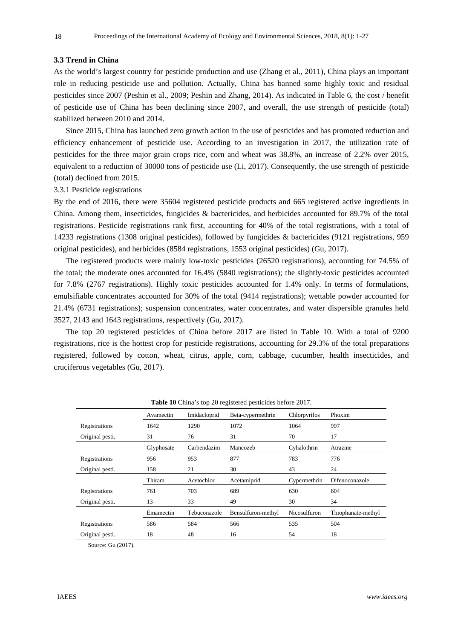#### **3.3 Trend in China**

As the world's largest country for pesticide production and use (Zhang et al., 2011), China plays an important role in reducing pesticide use and pollution. Actually, China has banned some highly toxic and residual pesticides since 2007 (Peshin et al., 2009; Peshin and Zhang, 2014). As indicated in Table 6, the cost / benefit of pesticide use of China has been declining since 2007, and overall, the use strength of pesticide (total) stabilized between 2010 and 2014.

Since 2015, China has launched zero growth action in the use of pesticides and has promoted reduction and efficiency enhancement of pesticide use. According to an investigation in 2017, the utilization rate of pesticides for the three major grain crops rice, corn and wheat was 38.8%, an increase of 2.2% over 2015, equivalent to a reduction of 30000 tons of pesticide use (Li, 2017). Consequently, the use strength of pesticide (total) declined from 2015.

3.3.1 Pesticide registrations

By the end of 2016, there were 35604 registered pesticide products and 665 registered active ingredients in China. Among them, insecticides, fungicides & bactericides, and herbicides accounted for 89.7% of the total registrations. Pesticide registrations rank first, accounting for 40% of the total registrations, with a total of 14233 registrations (1308 original pesticides), followed by fungicides & bactericides (9121 registrations, 959 original pesticides), and herbicides (8584 registrations, 1553 original pesticides) (Gu, 2017).

 The registered products were mainly low-toxic pesticides (26520 registrations), accounting for 74.5% of the total; the moderate ones accounted for 16.4% (5840 registrations); the slightly-toxic pesticides accounted for 7.8% (2767 registrations). Highly toxic pesticides accounted for 1.4% only. In terms of formulations, emulsifiable concentrates accounted for 30% of the total (9414 registrations); wettable powder accounted for 21.4% (6731 registrations); suspension concentrates, water concentrates, and water dispersible granules held 3527, 2143 and 1643 registrations, respectively (Gu, 2017).

The top 20 registered pesticides of China before 2017 are listed in Table 10. With a total of 9200 registrations, rice is the hottest crop for pesticide registrations, accounting for 29.3% of the total preparations registered, followed by cotton, wheat, citrus, apple, corn, cabbage, cucumber, health insecticides, and cruciferous vegetables (Gu, 2017).

| <b>Twore</b> To entries top 20 registered pesticides service 2017. |            |              |                    |              |                    |  |  |  |  |  |
|--------------------------------------------------------------------|------------|--------------|--------------------|--------------|--------------------|--|--|--|--|--|
|                                                                    | Avamectin  | Imidacloprid | Beta-cypermethrin  | Chlorpyrifos | Phoxim             |  |  |  |  |  |
| Registrations                                                      | 1642       | 1290         | 1072               | 1064         | 997                |  |  |  |  |  |
| Original pesti.                                                    | 31         | 76           | 31                 | 70           | 17                 |  |  |  |  |  |
|                                                                    | Glyphosate | Carbendazim  | Mancozeb           | Cyhalothrin  | Atrazine           |  |  |  |  |  |
| Registrations                                                      | 956        | 953          | 877                | 783          | 776                |  |  |  |  |  |
| Original pesti.                                                    | 158        | 21           | 30                 | 43           | 24                 |  |  |  |  |  |
|                                                                    | Thiram     | Acetochlor   | Acetamiprid        | Cypermethrin | Difenoconazole     |  |  |  |  |  |
| Registrations                                                      | 761        | 703          | 689                | 630          | 604                |  |  |  |  |  |
| Original pesti.                                                    | 13         | 33           | 49                 | 30           | 34                 |  |  |  |  |  |
|                                                                    | Emamectin  | Tebuconazole | Bensulfuron-methyl | Nicosulfuron | Thiophanate-methyl |  |  |  |  |  |
| Registrations                                                      | 586        | 584          | 566                | 535          | 504                |  |  |  |  |  |
| Original pesti.                                                    | 18         | 48           | 16                 | 54           | 18                 |  |  |  |  |  |

**Table 10** China's top 20 registered pesticides before 2017.

Source: Gu (2017).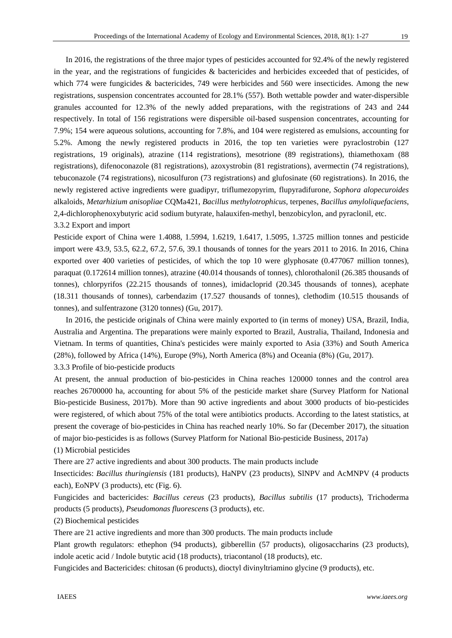In 2016, the registrations of the three major types of pesticides accounted for 92.4% of the newly registered in the year, and the registrations of fungicides  $\&$  bactericides and herbicides exceeded that of pesticides, of which 774 were fungicides & bactericides, 749 were herbicides and 560 were insecticides. Among the new registrations, suspension concentrates accounted for 28.1% (557). Both wettable powder and water-dispersible granules accounted for 12.3% of the newly added preparations, with the registrations of 243 and 244 respectively. In total of 156 registrations were dispersible oil-based suspension concentrates, accounting for 7.9%; 154 were aqueous solutions, accounting for 7.8%, and 104 were registered as emulsions, accounting for 5.2%. Among the newly registered products in 2016, the top ten varieties were pyraclostrobin (127 registrations, 19 originals), atrazine (114 registrations), mesotrione (89 registrations), thiamethoxam (88 registrations), difenoconazole (81 registrations), azoxystrobin (81 registrations), avermectin (74 registrations), tebuconazole (74 registrations), nicosulfuron (73 registrations) and glufosinate (60 registrations). In 2016, the newly registered active ingredients were guadipyr, triflumezopyrim, flupyradifurone, *Sophora alopecuroides* alkaloids, *Metarhizium anisopliae* CQMa421, *Bacillus methylotrophicus*, terpenes, *Bacillus amyloliquefaciens*, 2,4-dichlorophenoxybutyric acid sodium butyrate, halauxifen-methyl, benzobicylon, and pyraclonil, etc. 3.3.2 Export and import

Pesticide export of China were 1.4088, 1.5994, 1.6219, 1.6417, 1.5095, 1.3725 million tonnes and pesticide import were 43.9, 53.5, 62.2, 67.2, 57.6, 39.1 thousands of tonnes for the years 2011 to 2016. In 2016, China exported over 400 varieties of pesticides, of which the top 10 were glyphosate (0.477067 million tonnes), paraquat (0.172614 million tonnes), atrazine (40.014 thousands of tonnes), chlorothalonil (26.385 thousands of tonnes), chlorpyrifos (22.215 thousands of tonnes), imidacloprid (20.345 thousands of tonnes), acephate (18.311 thousands of tonnes), carbendazim (17.527 thousands of tonnes), clethodim (10.515 thousands of tonnes), and sulfentrazone (3120 tonnes) (Gu, 2017).

In 2016, the pesticide originals of China were mainly exported to (in terms of money) USA, Brazil, India, Australia and Argentina. The preparations were mainly exported to Brazil, Australia, Thailand, Indonesia and Vietnam. In terms of quantities, China's pesticides were mainly exported to Asia (33%) and South America (28%), followed by Africa (14%), Europe (9%), North America (8%) and Oceania (8%) (Gu, 2017).

3.3.3 Profile of bio-pesticide products

At present, the annual production of bio-pesticides in China reaches 120000 tonnes and the control area reaches 26700000 ha, accounting for about 5% of the pesticide market share (Survey Platform for National Bio-pesticide Business, 2017b). More than 90 active ingredients and about 3000 products of bio-pesticides were registered, of which about 75% of the total were antibiotics products. According to the latest statistics, at present the coverage of bio-pesticides in China has reached nearly 10%. So far (December 2017), the situation of major bio-pesticides is as follows (Survey Platform for National Bio-pesticide Business, 2017a)

#### (1) Microbial pesticides

There are 27 active ingredients and about 300 products. The main products include

Insecticides: *Bacillus thuringiensis* (181 products), HaNPV (23 products), SlNPV and AcMNPV (4 products each), EoNPV (3 products), etc (Fig. 6).

Fungicides and bactericides: *Bacillus cereus* (23 products), *Bacillus subtilis* (17 products), Trichoderma products (5 products), *Pseudomonas fluorescens* (3 products), etc.

#### (2) Biochemical pesticides

There are 21 active ingredients and more than 300 products. The main products include

Plant growth regulators: ethephon (94 products), gibberellin (57 products), oligosaccharins (23 products), indole acetic acid / Indole butytic acid (18 products), triacontanol (18 products), etc.

Fungicides and Bactericides: chitosan (6 products), dioctyl divinyltriamino glycine (9 products), etc.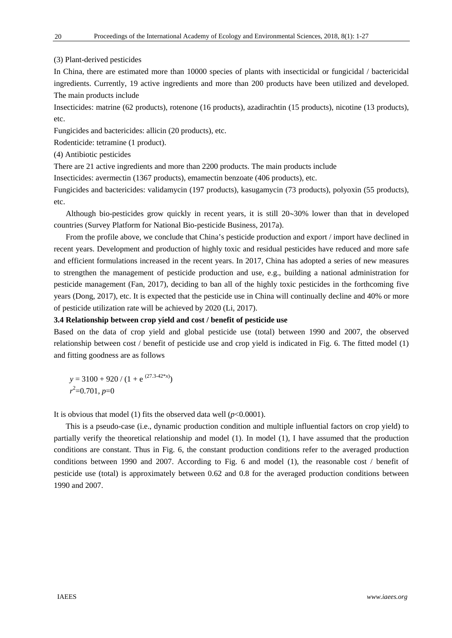#### (3) Plant-derived pesticides

In China, there are estimated more than 10000 species of plants with insecticidal or fungicidal / bactericidal ingredients. Currently, 19 active ingredients and more than 200 products have been utilized and developed. The main products include

Insecticides: matrine (62 products), rotenone (16 products), azadirachtin (15 products), nicotine (13 products), etc.

Fungicides and bactericides: allicin (20 products), etc.

Rodenticide: tetramine (1 product).

(4) Antibiotic pesticides

There are 21 active ingredients and more than 2200 products. The main products include

Insecticides: avermectin (1367 products), emamectin benzoate (406 products), etc.

Fungicides and bactericides: validamycin (197 products), kasugamycin (73 products), polyoxin (55 products), etc.

Although bio-pesticides grow quickly in recent years, it is still  $20~30\%$  lower than that in developed countries (Survey Platform for National Bio-pesticide Business, 2017a).

From the profile above, we conclude that China's pesticide production and export / import have declined in recent years. Development and production of highly toxic and residual pesticides have reduced and more safe and efficient formulations increased in the recent years. In 2017, China has adopted a series of new measures to strengthen the management of pesticide production and use, e.g., building a national administration for pesticide management (Fan, 2017), deciding to ban all of the highly toxic pesticides in the forthcoming five years (Dong, 2017), etc. It is expected that the pesticide use in China will continually decline and 40% or more of pesticide utilization rate will be achieved by 2020 (Li, 2017).

## **3.4 Relationship between crop yield and cost / benefit of pesticide use**

Based on the data of crop yield and global pesticide use (total) between 1990 and 2007, the observed relationship between cost / benefit of pesticide use and crop yield is indicated in Fig. 6. The fitted model (1) and fitting goodness are as follows

 $y = 3100 + 920 / (1 + e^{(27.3-42*x)})$ *r* 2 =0.701, *p*=0

It is obvious that model (1) fits the observed data well  $(p<0.0001)$ .

This is a pseudo-case (i.e., dynamic production condition and multiple influential factors on crop yield) to partially verify the theoretical relationship and model (1). In model (1), I have assumed that the production conditions are constant. Thus in Fig. 6, the constant production conditions refer to the averaged production conditions between 1990 and 2007. According to Fig. 6 and model (1), the reasonable cost / benefit of pesticide use (total) is approximately between 0.62 and 0.8 for the averaged production conditions between 1990 and 2007.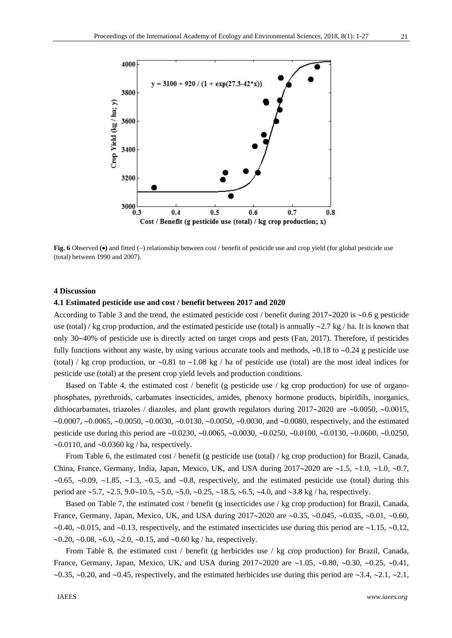

**Fig. 6** Observed ( $\bullet$ ) and fitted (-) relationship between cost / benefit of pesticide use and crop yield (for global pesticide use (total) between 1990 and 2007).

#### **4 Discussion**

#### **4.1 Estimated pesticide use and cost / benefit between 2017 and 2020**

According to Table 3 and the trend, the estimated pesticide cost / benefit during  $2017\text{~}2020$  is  $\text{~}0.6$  g pesticide use (total) / kg crop production, and the estimated pesticide use (total) is annually  $\sim$ 2.7 kg/ha. It is known that only 3040% of pesticide use is directly acted on target crops and pests (Fan, 2017). Therefore, if pesticides fully functions without any waste, by using various accurate tools and methods,  $\sim 0.18$  to  $\sim 0.24$  g pesticide use (total) / kg crop production, or  $\sim 0.81$  to  $\sim 1.08$  kg / ha of pesticide use (total) are the most ideal indices for pesticide use (total) at the present crop yield levels and production conditions.

Based on Table 4, the estimated cost / benefit (g pesticide use / kg crop production) for use of organophosphates, pyrethroids, carbamates insecticides, amides, phenoxy hormone products, bipiridils, inorganics, dithiocarbamates, triazoles / diazoles, and plant growth regulators during  $2017 \sim 2020$  are  $\sim 0.0050$ ,  $\sim 0.0015$ ,  $\sim 0.0007$ ,  $\sim 0.0065$ ,  $\sim 0.0050$ ,  $\sim 0.0030$ ,  $\sim 0.0130$ ,  $\sim 0.0050$ ,  $\sim 0.0030$ , and  $\sim 0.0080$ , respectively, and the estimated pesticide use during this period are  $\sim 0.0230$ ,  $\sim 0.0065$ ,  $\sim 0.0030$ ,  $\sim 0.0250$ ,  $\sim 0.0100$ ,  $\sim 0.0130$ ,  $\sim 0.0600$ ,  $\sim 0.0250$ ,  $\sim 0.0110$ , and  $\sim 0.0360$  kg / ha, respectively.

From Table 6, the estimated cost / benefit (g pesticide use (total) / kg crop production) for Brazil, Canada, China, France, Germany, India, Japan, Mexico, UK, and USA during  $2017 \sim 2020$  are  $\sim 1.5$ ,  $\sim 1.0$ ,  $\sim 1.0$ ,  $\sim 0.7$ ,  $\sim 0.65$ ,  $\sim 0.09$ ,  $\sim 1.85$ ,  $\sim 1.3$ ,  $\sim 0.5$ , and  $\sim 0.8$ , respectively, and the estimated pesticide use (total) during this period are  $\approx$  5.7,  $\approx$  2.5, 9.0 $\sim$  10.5,  $\sim$  5.0,  $\sim$  5.0,  $\sim$  0.25,  $\sim$  18.5,  $\sim$  6.5,  $\sim$  4.0, and  $\sim$  3.8 kg / ha, respectively.

Based on Table 7, the estimated cost / benefit (g insecticides use / kg crop production) for Brazil, Canada, France, Germany, Japan, Mexico, UK, and USA during  $2017 \sim 2020$  are  $\sim 0.35$ ,  $\sim 0.045$ ,  $\sim 0.035$ ,  $\sim 0.01$ ,  $\sim 0.60$ ,  $\sim 0.40$ ,  $\sim 0.015$ , and  $\sim 0.13$ , respectively, and the estimated insecticides use during this period are  $\sim 1.15$ ,  $\sim 0.12$ .  $\sim 0.20$ ,  $\sim 0.08$ ,  $\sim 6.0$ ,  $\sim 2.0$ ,  $\sim 0.15$ , and  $\sim 0.60$  kg / ha, respectively.

From Table 8, the estimated cost / benefit (g herbicides use / kg crop production) for Brazil, Canada, France, Germany, Japan, Mexico, UK, and USA during  $2017 \sim 2020$  are  $\sim 1.05$ ,  $\sim 0.80$ ,  $\sim 0.30$ ,  $\sim 0.25$ ,  $\sim 0.41$ ,  $\sim$ 0.35,  $\sim$ 0.20, and  $\sim$ 0.45, respectively, and the estimated herbicides use during this period are  $\sim$ 3.4,  $\sim$ 2.1,  $\sim$ 2.1,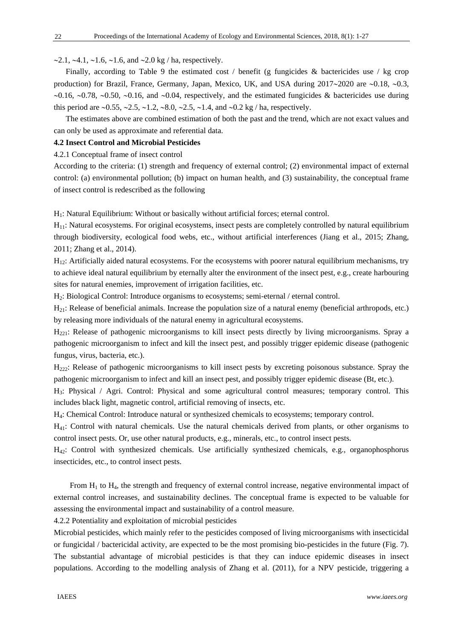$\sim$ 2.1,  $\sim$ 4.1,  $\sim$ 1.6,  $\sim$ 1.6, and  $\sim$ 2.0 kg / ha, respectively.

Finally, according to Table 9 the estimated cost / benefit (g fungicides  $\&$  bactericides use / kg crop production) for Brazil, France, Germany, Japan, Mexico, UK, and USA during  $2017 \sim 2020$  are  $\sim 0.18$ ,  $\sim 0.3$ ,  $0.16$ ,  $0.78$ ,  $0.50$ ,  $0.16$ , and  $0.04$ , respectively, and the estimated fungicides & bactericides use during this period are  $\sim 0.55$ ,  $\sim 2.5$ ,  $\sim 1.2$ ,  $\sim 8.0$ ,  $\sim 2.5$ ,  $\sim 1.4$ , and  $\sim 0.2$  kg / ha, respectively.

The estimates above are combined estimation of both the past and the trend, which are not exact values and can only be used as approximate and referential data.

#### **4.2 Insect Control and Microbial Pesticides**

#### 4.2.1 Conceptual frame of insect control

According to the criteria: (1) strength and frequency of external control; (2) environmental impact of external control: (a) environmental pollution; (b) impact on human health, and (3) sustainability, the conceptual frame of insect control is redescribed as the following

H<sub>1</sub>: Natural Equilibrium: Without or basically without artificial forces; eternal control.

H11: Natural ecosystems. For original ecosystems, insect pests are completely controlled by natural equilibrium through biodiversity, ecological food webs, etc., without artificial interferences (Jiang et al., 2015; Zhang, 2011; Zhang et al., 2014).

H12: Artificially aided natural ecosystems. For the ecosystems with poorer natural equilibrium mechanisms, try to achieve ideal natural equilibrium by eternally alter the environment of the insect pest, e.g., create harbouring sites for natural enemies, improvement of irrigation facilities, etc.

H2: Biological Control: Introduce organisms to ecosystems; semi-eternal / eternal control.

 $H_{21}$ : Release of beneficial animals. Increase the population size of a natural enemy (beneficial arthropods, etc.) by releasing more individuals of the natural enemy in agricultural ecosystems.

H221: Release of pathogenic microorganisms to kill insect pests directly by living microorganisms. Spray a pathogenic microorganism to infect and kill the insect pest, and possibly trigger epidemic disease (pathogenic fungus, virus, bacteria, etc.).

H222: Release of pathogenic microorganisms to kill insect pests by excreting poisonous substance. Spray the pathogenic microorganism to infect and kill an insect pest, and possibly trigger epidemic disease (Bt, etc.).

H3: Physical / Agri. Control: Physical and some agricultural control measures; temporary control. This includes black light, magnetic control, artificial removing of insects, etc.

H4: Chemical Control: Introduce natural or synthesized chemicals to ecosystems; temporary control.

H41: Control with natural chemicals. Use the natural chemicals derived from plants, or other organisms to control insect pests. Or, use other natural products, e.g., minerals, etc., to control insect pests.

H42: Control with synthesized chemicals. Use artificially synthesized chemicals, e.g., organophosphorus insecticides, etc., to control insect pests.

From  $H_1$  to  $H_4$ , the strength and frequency of external control increase, negative environmental impact of external control increases, and sustainability declines. The conceptual frame is expected to be valuable for assessing the environmental impact and sustainability of a control measure.

4.2.2 Potentiality and exploitation of microbial pesticides

Microbial pesticides, which mainly refer to the pesticides composed of living microorganisms with insecticidal or fungicidal / bactericidal activity, are expected to be the most promising bio-pesticides in the future (Fig. 7). The substantial advantage of microbial pesticides is that they can induce epidemic diseases in insect populations. According to the modelling analysis of Zhang et al. (2011), for a NPV pesticide, triggering a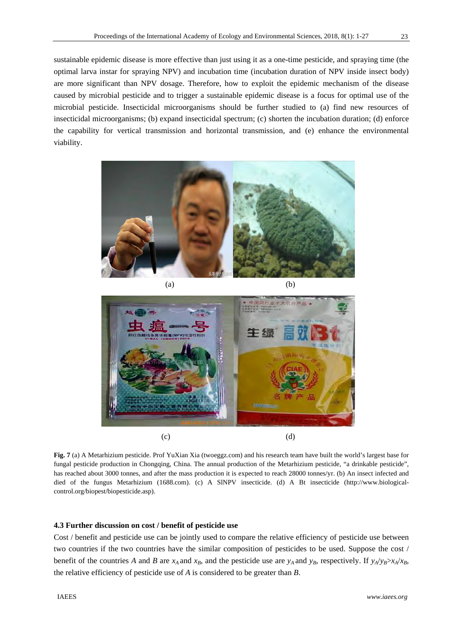sustainable epidemic disease is more effective than just using it as a one-time pesticide, and spraying time (the optimal larva instar for spraying NPV) and incubation time (incubation duration of NPV inside insect body) are more significant than NPV dosage. Therefore, how to exploit the epidemic mechanism of the disease caused by microbial pesticide and to trigger a sustainable epidemic disease is a focus for optimal use of the microbial pesticide. Insecticidal microorganisms should be further studied to (a) find new resources of insecticidal microorganisms; (b) expand insecticidal spectrum; (c) shorten the incubation duration; (d) enforce the capability for vertical transmission and horizontal transmission, and (e) enhance the environmental viability.



 $(a)$  (b)



**Fig. 7** (a) A Metarhizium pesticide. Prof YuXian Xia (twoeggz.com) and his research team have built the world's largest base for fungal pesticide production in Chongqing, China. The annual production of the Metarhizium pesticide, "a drinkable pesticide", has reached about 3000 tonnes, and after the mass production it is expected to reach 28000 tonnes/yr. (b) An insect infected and died of the fungus Metarhizium (1688.com). (c) A SlNPV insecticide. (d) A Bt insecticide (http://www.biologicalcontrol.org/biopest/biopesticide.asp).

# **4.3 Further discussion on cost / benefit of pesticide use**

Cost / benefit and pesticide use can be jointly used to compare the relative efficiency of pesticide use between two countries if the two countries have the similar composition of pesticides to be used. Suppose the cost / benefit of the countries *A* and *B* are  $x_A$  and  $x_B$ , and the pesticide use are  $y_A$  and  $y_B$ , respectively. If  $y_A/y_B > x_A/x_B$ , the relative efficiency of pesticide use of *A* is considered to be greater than *B*.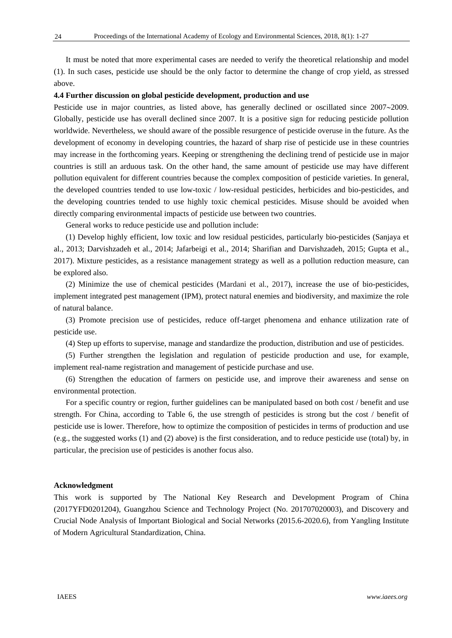It must be noted that more experimental cases are needed to verify the theoretical relationship and model (1). In such cases, pesticide use should be the only factor to determine the change of crop yield, as stressed above.

## **4.4 Further discussion on global pesticide development, production and use**

Pesticide use in major countries, as listed above, has generally declined or oscillated since 2007~2009. Globally, pesticide use has overall declined since 2007. It is a positive sign for reducing pesticide pollution worldwide. Nevertheless, we should aware of the possible resurgence of pesticide overuse in the future. As the development of economy in developing countries, the hazard of sharp rise of pesticide use in these countries may increase in the forthcoming years. Keeping or strengthening the declining trend of pesticide use in major countries is still an arduous task. On the other hand, the same amount of pesticide use may have different pollution equivalent for different countries because the complex composition of pesticide varieties. In general, the developed countries tended to use low-toxic / low-residual pesticides, herbicides and bio-pesticides, and the developing countries tended to use highly toxic chemical pesticides. Misuse should be avoided when directly comparing environmental impacts of pesticide use between two countries.

General works to reduce pesticide use and pollution include:

(1) Develop highly efficient, low toxic and low residual pesticides, particularly bio-pesticides (Sanjaya et al., 2013; Darvishzadeh et al., 2014; Jafarbeigi et al., 2014; Sharifian and Darvishzadeh, 2015; Gupta et al., 2017). Mixture pesticides, as a resistance management strategy as well as a pollution reduction measure, can be explored also.

(2) Minimize the use of chemical pesticides (Mardani et al., 2017), increase the use of bio-pesticides, implement integrated pest management (IPM), protect natural enemies and biodiversity, and maximize the role of natural balance.

(3) Promote precision use of pesticides, reduce off-target phenomena and enhance utilization rate of pesticide use.

(4) Step up efforts to supervise, manage and standardize the production, distribution and use of pesticides.

(5) Further strengthen the legislation and regulation of pesticide production and use, for example, implement real-name registration and management of pesticide purchase and use.

(6) Strengthen the education of farmers on pesticide use, and improve their awareness and sense on environmental protection.

For a specific country or region, further guidelines can be manipulated based on both cost / benefit and use strength. For China, according to Table 6, the use strength of pesticides is strong but the cost / benefit of pesticide use is lower. Therefore, how to optimize the composition of pesticides in terms of production and use (e.g., the suggested works (1) and (2) above) is the first consideration, and to reduce pesticide use (total) by, in particular, the precision use of pesticides is another focus also.

#### **Acknowledgment**

This work is supported by The National Key Research and Development Program of China (2017YFD0201204), Guangzhou Science and Technology Project (No. 201707020003), and Discovery and Crucial Node Analysis of Important Biological and Social Networks (2015.6-2020.6), from Yangling Institute of Modern Agricultural Standardization, China.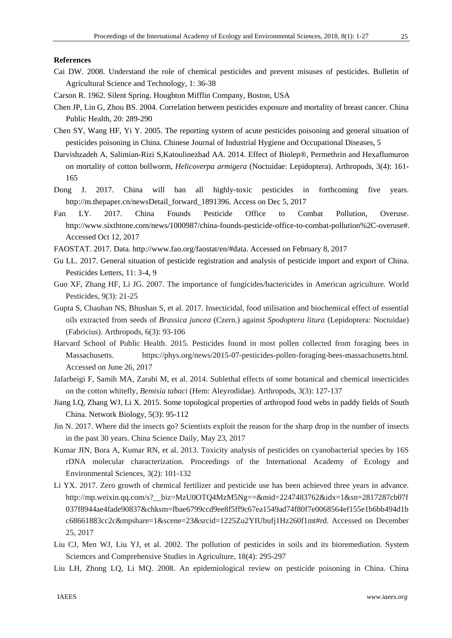#### **References**

- Cai DW. 2008. Understand the role of chemical pesticides and prevent misuses of pesticides. Bulletin of Agricultural Science and Technology, 1: 36-38
- Carson R. 1962. Silent Spring. Houghton Mifflin Company, Boston, USA
- Chen JP, Lin G, Zhou BS. 2004. Correlation between pesticides exposure and mortality of breast cancer. China Public Health, 20: 289-290
- Chen SY, Wang HF, Yi Y. 2005. The reporting system of acute pesticides poisoning and general situation of pesticides poisoning in China. Chinese Journal of Industrial Hygiene and Occupational Diseases, 5
- Darvishzadeh A, Salimian-Rizi S,Katoulinezhad AA. 2014. Effect of Biolep®, Permethrin and Hexaflumuron on mortality of cotton bollworm, *Helicoverpa armigera* (Noctuidae: Lepidoptera). Arthropods, 3(4): 161- 165
- Dong J. 2017. China will ban all highly-toxic pesticides in forthcoming five years. http://m.thepaper.cn/newsDetail\_forward\_1891396. Access on Dec 5, 2017
- Fan LY. 2017. China Founds Pesticide Office to Combat Pollution, Overuse. http://www.sixthtone.com/news/1000987/china-founds-pesticide-office-to-combat-pollution%2C-overuse#. Accessed Oct 12, 2017
- FAOSTAT. 2017. Data. http://www.fao.org/faostat/en/#data. Accessed on February 8, 2017
- Gu LL. 2017. General situation of pesticide registration and analysis of pesticide import and export of China. Pesticides Letters, 11: 3-4, 9
- Guo XF, Zhang HF, Li JG. 2007. The importance of fungicides/bactericides in American agriculture. World Pesticides, 9(3): 21-25
- Gupta S, Chauhan NS, Bhushan S, et al. 2017. Insecticidal, food utilisation and biochemical effect of essential oils extracted from seeds of *Brassica juncea* (Czern.) against *Spodoptera litura* (Lepidoptera: Noctuidae) (Fabricius). Arthropods, 6(3): 93-106
- Harvard School of Public Health. 2015. Pesticides found in most pollen collected from foraging bees in Massachusetts. https://phys.org/news/2015-07-pesticides-pollen-foraging-bees-massachusetts.html. Accessed on June 26, 2017
- Jafarbeigi F, Samih MA, Zarabi M, et al. 2014. Sublethal effects of some botanical and chemical insecticides on the cotton whitefly, *Bemisia tabaci* (Hem: Aleyrodidae). Arthropods, 3(3): 127-137
- Jiang LQ, Zhang WJ, Li X. 2015. Some topological properties of arthropod food webs in paddy fields of South China. Network Biology, 5(3): 95-112
- Jin N. 2017. Where did the insects go? Scientists exploit the reason for the sharp drop in the number of insects in the past 30 years. China Science Daily, May 23, 2017
- Kumar JIN, Bora A, Kumar RN, et al. 2013. Toxicity analysis of pesticides on cyanobacterial species by 16S rDNA molecular characterization. Proceedings of the International Academy of Ecology and Environmental Sciences, 3(2): 101-132
- Li YX. 2017. Zero growth of chemical fertilizer and pesticide use has been achieved three years in advance. http://mp.weixin.qq.com/s?\_\_biz=MzU0OTQ4MzM5Ng==&mid=2247483762&idx=1&sn=2817287cb07f 037f8944ae4fade90837&chksm=fbae6799ccd9ee8f5ff9c67ea1549ad74f80f7e0068564ef155e1b6bb494d1b c68661883cc2c&mpshare=1&scene=23&srcid=1225Zu2YIUbufj1Hz260f1mt#rd. Accessed on December 25, 2017
- Liu CJ, Men WJ, Liu YJ, et al. 2002. The pollution of pesticides in soils and its bioremediation. System Sciemces and Comprehensive Studies in Agriculture, 18(4): 295-297
- Liu LH, Zhong LQ, Li MQ. 2008. An epidemiological review on pesticide poisoning in China. China

25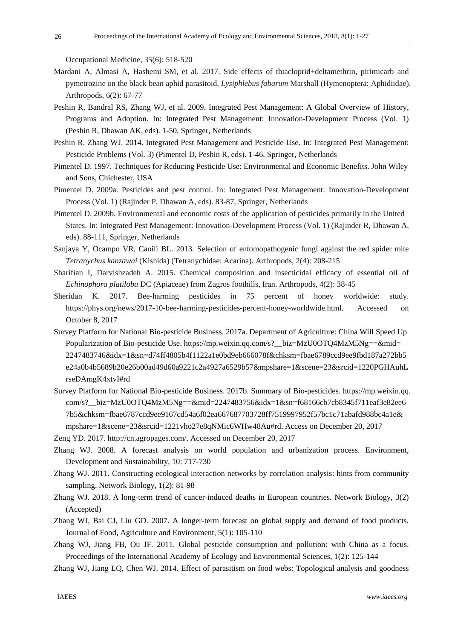Occupational Medicine, 35(6): 518-520

- Mardani A, Almasi A, Hashemi SM, et al. 2017. Side effects of thiacloprid+deltamethrin, pirimicarb and pymetrozine on the black bean aphid parasitoid, *Lysiphlebus fabarum* Marshall (Hymenoptera: Aphidiidae). Arthropods, 6(2): 67-77
- Peshin R, Bandral RS, Zhang WJ, et al. 2009. Integrated Pest Management: A Global Overview of History, Programs and Adoption. In: Integrated Pest Management: Innovation-Development Process (Vol. 1) (Peshin R, Dhawan AK, eds). 1-50, Springer, Netherlands
- Peshin R, Zhang WJ. 2014. Integrated Pest Management and Pesticide Use. In: Integrated Pest Management: Pesticide Problems (Vol. 3) (Pimentel D, Peshin R, eds). 1-46, Springer, Netherlands
- Pimentel D. 1997. Techniques for Reducing Pesticide Use: Environmental and Economic Benefits. John Wiley and Sons, Chichester, USA
- Pimentel D. 2009a. Pesticides and pest control. In: Integrated Pest Management: Innovation-Development Process (Vol. 1) (Rajinder P, Dhawan A, eds). 83-87, Springer, Netherlands
- Pimentel D. 2009b. Environmental and economic costs of the application of pesticides primarily in the United States. In: Integrated Pest Management: Innovation-Development Process (Vol. 1) (Rajinder R, Dhawan A, eds). 88-111, Springer, Netherlands
- Sanjaya Y, Ocampo VR, Caoili BL. 2013. Selection of entomopathogenic fungi against the red spider mite *Tetranychus kanzawai* (Kishida) (Tetranychidae: Acarina). Arthropods, 2(4): 208-215
- Sharifian I, Darvishzadeh A. 2015. Chemical composition and insecticidal efficacy of essential oil of *Echinophora platiloba* DC (Apiaceae) from Zagros foothills, Iran. Arthropods, 4(2): 38-45
- Sheridan K. 2017. Bee-harming pesticides in 75 percent of honey worldwide: study. https://phys.org/news/2017-10-bee-harming-pesticides-percent-honey-worldwide.html. Accessed on October 8, 2017
- Survey Platform for National Bio-pesticide Business. 2017a. Department of Agriculture: China Will Speed Up Popularization of Bio-pesticide Use. https://mp.weixin.qq.com/s?\_\_biz=MzU0OTQ4MzM5Ng==&mid= 2247483746&idx=1&sn=d74ff4805b4f1122a1e0bd9eb666078f&chksm=fbae6789ccd9ee9fbd187a272bb5 e24a0b4b5689b20e26b00ad49d60a9221c2a4927a6529b57&mpshare=1&scene=23&srcid=1220PGHAuhL rseDAmgK4xtvI#rd
- Survey Platform for National Bio-pesticide Business. 2017b. Summary of Bio-pesticides. https://mp.weixin.qq. com/s?\_\_biz=MzU0OTQ4MzM5Ng==&mid=2247483756&idx=1&sn=f68166cb7cb8345f711eaf3e82ee6 7b5&chksm=fbae6787ccd9ee9167cd54a6f02ea667687703728ff7519997952f57bc1c71abafd988bc4a1e& mpshare=1&scene=23&srcid=1221vho27e8qNMic6WHw48Au#rd. Access on December 20, 2017

Zeng YD. 2017. http://cn.agropages.com/. Accessed on December 20, 2017

- Zhang WJ. 2008. A forecast analysis on world population and urbanization process. Environment, Development and Sustainability, 10: 717-730
- Zhang WJ. 2011. Constructing ecological interaction networks by correlation analysis: hints from community sampling. Network Biology, 1(2): 81-98
- Zhang WJ. 2018. A long-term trend of cancer-induced deaths in European countries. Network Biology, 3(2) (Accepted)
- Zhang WJ, Bai CJ, Liu GD. 2007. A longer-term forecast on global supply and demand of food products. Journal of Food, Agriculture and Environment, 5(1): 105-110
- Zhang WJ, Jiang FB, Ou JF. 2011. Global pesticide consumption and pollution: with China as a focus. Proceedings of the International Academy of Ecology and Environmental Sciences, 1(2): 125-144
- Zhang WJ, Jiang LQ, Chen WJ. 2014. Effect of parasitism on food webs: Topological analysis and goodness